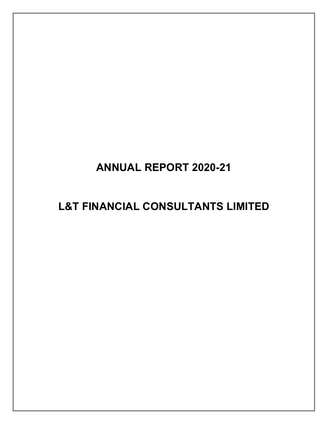# **ANNUAL REPORT 2020-21**

# **L&T FINANCIAL CONSULTANTS LIMITED**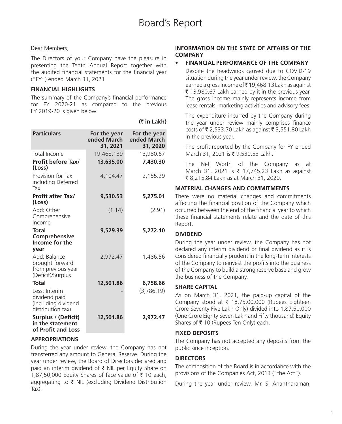#### Dear Members,

The Directors of your Company have the pleasure in presenting the Tenth Annual Report together with the audited financial statements for the financial year ("FY") ended March 31, 2021

#### **FINANCIAL HIGHLIGHTS**

The summary of the Company's financial performance for FY 2020-21 as compared to the previous FY 2019-20 is given below:

| <b>Particulars</b>                                                         | For the year<br>ended March<br>31, 2021 | For the year<br>ended March<br>31, 2020 |
|----------------------------------------------------------------------------|-----------------------------------------|-----------------------------------------|
| Total Income                                                               | 19,468.139                              | 13,980.67                               |
| <b>Profit before Tax/</b><br>(Loss)                                        | 13,635.00                               | 7,430.30                                |
| Provision for Tax<br>including Deferred<br>Tax                             | 4,104.47                                | 2,155.29                                |
| <b>Profit after Tax/</b><br>(Loss)                                         | 9,530.53                                | 5,275.01                                |
| Add: Other<br>Comprehensive<br>Income                                      | (1.14)                                  | (2.91)                                  |
| Total<br>Comprehensive<br>Income for the<br>year                           | 9,529.39                                | 5,272.10                                |
| Add: Balance<br>brought forward<br>from previous year<br>(Deficit)/Surplus | 2,972.47                                | 1,486.56                                |
| <b>Total</b>                                                               | 12,501.86                               | 6,758.66                                |
| Less: Interim<br>dividend paid<br>(including dividend<br>distribution tax) |                                         | (3,786.19)                              |
| <b>Surplus / (Deficit)</b><br>in the statement<br>of Profit and Loss       | 12,501.86                               | 2,972.47                                |

#### **(**R **in Lakh)**

#### **APPROPRIATIONS**

During the year under review, the Company has not transferred any amount to General Reserve. During the year under review, the Board of Directors declared and paid an interim dividend of  $\bar{\tau}$  NIL per Equity Share on 1,87,50,000 Equity Shares of face value of  $\bar{\tau}$  10 each, aggregating to  $\bar{\tau}$  NIL (excluding Dividend Distribution Tax).

#### **INFORMATION ON THE STATE OF AFFAIRS OF THE COMPANY**

#### **FINANCIAL PERFORMANCE OF THE COMPANY**

Despite the headwinds caused due to COVID-19 situation during the year under review, the Company earned a gross income of  $\bar{\tau}$  19,468.13 Lakh as against ₹ 13,980.67 Lakh earned by it in the previous year. The gross income mainly represents income from lease rentals, marketing activities and advisory fees.

The expenditure incurred by the Company during the year under review mainly comprises finance costs of ₹2,533.70 Lakh as against ₹3,551.80 Lakh in the previous year.

The profit reported by the Company for FY ended March 31, 2021 is ₹ 9,530.53 Lakh.

The Net Worth of the Company as at March 31, 2021 is ₹ 17,745.23 Lakh as against R 8,215.84 Lakh as at March 31, 2020.

#### **MATERIAL CHANGES AND COMMITMENTS**

There were no material changes and commitments affecting the financial position of the Company which occurred between the end of the financial year to which these financial statements relate and the date of this Report.

#### **DIVIDEND**

During the year under review, the Company has not declared any interim dividend or final dividend as it is considered financially prudent in the long-term interests of the Company to reinvest the profits into the business of the Company to build a strong reserve base and grow the business of the Company.

#### **SHARE CAPITAL**

As on March 31, 2021, the paid-up capital of the Company stood at  $\bar{\tau}$  18,75,00,000 (Rupees Eighteen Crore Seventy Five Lakh Only) divided into 1,87,50,000 (One Crore Eighty Seven Lakh and Fifty thousand) Equity Shares of  $\bar{\tau}$  10 (Rupees Ten Only) each.

#### **FIXED DEPOSITS**

The Company has not accepted any deposits from the public since inception.

#### **DIRECTORS**

The composition of the Board is in accordance with the provisions of the Companies Act, 2013 ("the Act").

During the year under review, Mr. S. Anantharaman,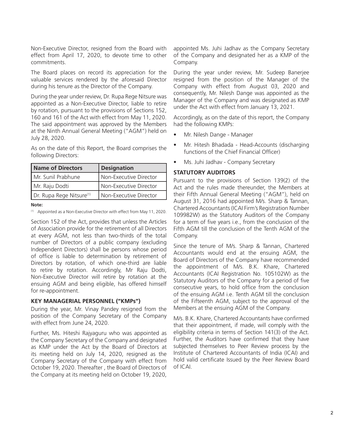Non-Executive Director, resigned from the Board with effect from April 17, 2020, to devote time to other commitments.

The Board places on record its appreciation for the valuable services rendered by the aforesaid Director during his tenure as the Director of the Company.

During the year under review, Dr. Rupa Rege Nitsure was appointed as a Non-Executive Director, liable to retire by rotation, pursuant to the provisions of Sections 152, 160 and 161 of the Act with effect from May 11, 2020. The said appointment was approved by the Members at the Ninth Annual General Meeting ("AGM") held on July 28, 2020.

As on the date of this Report, the Board comprises the following Directors:

| <b>Name of Directors</b>             | <b>Designation</b>     |  |  |
|--------------------------------------|------------------------|--|--|
| Mr. Sunil Prabhune                   | Non-Executive Director |  |  |
| Mr. Raju Dodti                       | Non-Executive Director |  |  |
| Dr. Rupa Rege Nitsure <sup>(1)</sup> | Non-Executive Director |  |  |

#### **Note:**

(1) Appointed as a Non-Executive Director with effect from May 11, 2020.

Section 152 of the Act, provides that unless the Articles of Association provide for the retirement of all Directors at every AGM, not less than two-thirds of the total number of Directors of a public company (excluding Independent Directors) shall be persons whose period of office is liable to determination by retirement of Directors by rotation, of which one-third are liable to retire by rotation. Accordingly, Mr Raju Dodti, Non-Executive Director will retire by rotation at the ensuing AGM and being eligible, has offered himself for re-appointment.

#### **KEY MANAGERIAL PERSONNEL ("KMPs")**

During the year, Mr. Vinay Pandey resigned from the position of the Company Secretary of the Company with effect from June 24, 2020.

Further, Ms. Hiteshi Rajyaguru who was appointed as the Company Secretary of the Company and designated as KMP under the Act by the Board of Directors at its meeting held on July 14, 2020, resigned as the Company Secretary of the Company with effect from October 19, 2020. Thereafter , the Board of Directors of the Company at its meeting held on October 19, 2020, appointed Ms. Juhi Jadhav as the Company Secretary of the Company and designated her as a KMP of the Company.

During the year under review, Mr. Sudeep Banerjee resigned from the position of the Manager of the Company with effect from August 03, 2020 and consequently, Mr. Nilesh Dange was appointed as the Manager of the Company and was designated as KMP under the Act with effect from January 13, 2021.

Accordingly, as on the date of this report, the Company had the following KMPs:

- Mr. Nilesh Dange Manager
- Mr. Hitesh Bhadada Head-Accounts (discharging functions of the Chief Financial Officer)
- Ms. Juhi Jadhav Company Secretary

#### **STATUTORY AUDITORS**

Pursuant to the provisions of Section 139(2) of the Act and the rules made thereunder, the Members at their Fifth Annual General Meeting ("AGM"), held on August 31, 2016 had appointed M/s. Sharp & Tannan, Chartered Accountants (ICAI Firm's Registration Number 109982W) as the Statutory Auditors of the Company for a term of five years i.e., from the conclusion of the Fifth AGM till the conclusion of the Tenth AGM of the Company.

Since the tenure of M/s. Sharp & Tannan, Chartered Accountants would end at the ensuing AGM, the Board of Directors of the Company have recommended the appointment of M/s. B.K. Khare, Chartered Accountants (ICAI Registration No. 105102W) as the Statutory Auditors of the Company for a period of five consecutive years, to hold office from the conclusion of the ensuing AGM i.e. Tenth AGM till the conclusion of the Fifteenth AGM, subject to the approval of the Members at the ensuing AGM of the Company.

M/s. B.K. Khare, Chartered Accountants have confirmed that their appointment, if made, will comply with the eligibility criteria in terms of Section 141(3) of the Act. Further, the Auditors have confirmed that they have subjected themselves to Peer Review process by the Institute of Chartered Accountants of India (ICAI) and hold valid certificate Issued by the Peer Review Board of ICAI.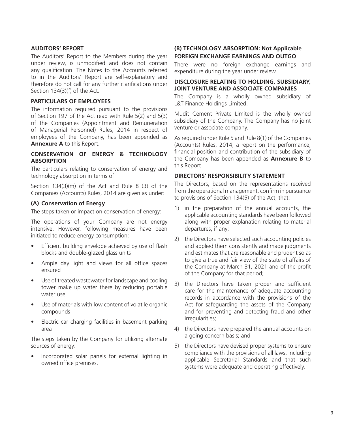#### **AUDITORS' REPORT**

The Auditors' Report to the Members during the year under review, is unmodified and does not contain any qualification. The Notes to the Accounts referred to in the Auditors' Report are self-explanatory and therefore do not call for any further clarifications under Section 134(3)(f) of the Act.

#### **PARTICULARS OF EMPLOYEES**

The information required pursuant to the provisions of Section 197 of the Act read with Rule 5(2) and 5(3) of the Companies (Appointment and Remuneration of Managerial Personnel) Rules, 2014 in respect of employees of the Company, has been appended as **Annexure A** to this Report.

#### **CONSERVATION OF ENERGY & TECHNOLOGY ABSORPTION**

The particulars relating to conservation of energy and technology absorption in terms of

Section 134(3)(m) of the Act and Rule 8 (3) of the Companies (Accounts) Rules, 2014 are given as under:

#### **(A) Conservation of Energy**

The steps taken or impact on conservation of energy:

The operations of your Company are not energy intensive. However, following measures have been initiated to reduce energy consumption:

- Efficient building envelope achieved by use of flash blocks and double-glazed glass units
- Ample day light and views for all office spaces ensured
- Use of treated wastewater for landscape and cooling tower make up water there by reducing portable water use
- • Use of materials with low content of volatile organic compounds
- Electric car charging facilities in basement parking area

The steps taken by the Company for utilizing alternate sources of energy:

Incorporated solar panels for external lighting in owned office premises.

# **(B) TECHNOLOGY ABSORPTION: Not Applicable FOREIGN EXCHANGE EARNINGS AND OUTGO**

There were no foreign exchange earnings and expenditure during the year under review.

#### **DISCLOSURE RELATING TO HOLDING, SUBSIDIARY, JOINT VENTURE AND ASSOCIATE COMPANIES**

The Company is a wholly owned subsidiary of L&T Finance Holdings Limited.

Mudit Cement Private Limited is the wholly owned subsidiary of the Company. The Company has no joint venture or associate company.

As required under Rule 5 and Rule 8(1) of the Companies (Accounts) Rules, 2014, a report on the performance, financial position and contribution of the subsidiary of the Company has been appended as **Annexure B** to this Report.

#### **DIRECTORS' RESPONSIBILITY STATEMENT**

The Directors, based on the representations received from the operational management, confirm in pursuance to provisions of Section 134(5) of the Act, that:

- 1) in the preparation of the annual accounts, the applicable accounting standards have been followed along with proper explanation relating to material departures, if any;
- 2) the Directors have selected such accounting policies and applied them consistently and made judgments and estimates that are reasonable and prudent so as to give a true and fair view of the state of affairs of the Company at March 31, 2021 and of the profit of the Company for that period;
- 3) the Directors have taken proper and sufficient care for the maintenance of adequate accounting records in accordance with the provisions of the Act for safeguarding the assets of the Company and for preventing and detecting fraud and other irregularities;
- 4) the Directors have prepared the annual accounts on a going concern basis; and
- 5) the Directors have devised proper systems to ensure compliance with the provisions of all laws, including applicable Secretarial Standards and that such systems were adequate and operating effectively.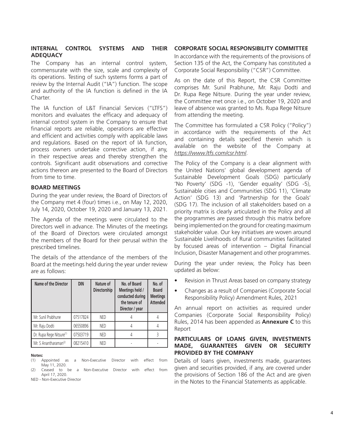#### **INTERNAL CONTROL SYSTEMS AND THEIR ADEQUACY**

The Company has an internal control system, commensurate with the size, scale and complexity of its operations. Testing of such systems forms a part of review by the Internal Audit ("IA") function. The scope and authority of the IA function is defined in the IA Charter.

The IA function of L&T Financial Services ("LTFS") monitors and evaluates the efficacy and adequacy of internal control system in the Company to ensure that financial reports are reliable, operations are effective and efficient and activities comply with applicable laws and regulations. Based on the report of IA function, process owners undertake corrective action, if any, in their respective areas and thereby strengthen the controls. Significant audit observations and corrective actions thereon are presented to the Board of Directors from time to time.

#### **BOARD MEETINGS**

During the year under review, the Board of Directors of the Company met 4 (four) times i.e., on May 12, 2020, July 14, 2020, October 19, 2020 and January 13, 2021.

The Agenda of the meetings were circulated to the Directors well in advance. The Minutes of the meetings of the Board of Directors were circulated amongst the members of the Board for their perusal within the prescribed timelines.

The details of the attendance of the members of the Board at the meetings held during the year under review are as follows:

| Name of the Director<br><b>DIN</b>   |          | Nature of<br>Directorship | No. of Board<br>Meetings held /<br>conducted during<br>the tenure of<br>Director / year | No. of<br><b>Board</b><br><b>Meetings</b><br><b>Attended</b> |
|--------------------------------------|----------|---------------------------|-----------------------------------------------------------------------------------------|--------------------------------------------------------------|
| Mr. Sunil Prabhune                   | 07517824 | <b>NED</b>                |                                                                                         |                                                              |
| Mr. Raju Dodti                       | 06550896 | <b>NED</b>                |                                                                                         |                                                              |
| Dr. Rupa Rege Nitsure <sup>(1)</sup> | 07503719 | <b>NED</b>                |                                                                                         |                                                              |
| Mr. S Anantharaman <sup>(2)</sup>    | 08215410 | <b>NED</b>                |                                                                                         |                                                              |

#### **Notes:**

- (1) Appointed as a Non-Executive Director with effect from May 11, 2020.
- Ceased to be a Non-Executive Director with effect from April 17, 2020.
- NED Non-Executive Director

#### **CORPORATE SOCIAL RESPONSIBILITY COMMITTEE**

In accordance with the requirements of the provisions of Section 135 of the Act, the Company has constituted a Corporate Social Responsibility ("CSR") Committee.

As on the date of this Report, the CSR Committee comprises Mr. Sunil Prabhune, Mr. Raju Dodti and Dr. Rupa Rege Nitsure. During the year under review, the Committee met once i.e., on October 19, 2020 and leave of absence was granted to Ms. Rupa Rege Nitsure from attending the meeting.

The Committee has formulated a CSR Policy ("Policy") in accordance with the requirements of the Act and containing details specified therein which is available on the website of the Company at *https://www.ltfs.com/csr.html*.

The Policy of the Company is a clear alignment with the United Nations' global development agenda of Sustainable Development Goals (SDG) particularly 'No Poverty' (SDG -1), 'Gender equality' (SDG -5), Sustainable cities and Communities (SDG 11), 'Climate Action' (SDG 13) and 'Partnership for the Goals' (SDG 17). The inclusion of all stakeholders based on a priority matrix is clearly articulated in the Policy and all the programmes are passed through this matrix before being implemented on the ground for creating maximum stakeholder value. Our key initiatives are woven around Sustainable Livelihoods of Rural communities facilitated by focused areas of intervention – Digital Financial Inclusion, Disaster Management and other programmes.

During the year under review, the Policy has been updated as below:

- Revision in Thrust Areas based on company strategy
- Changes as a result of Companies (Corporate Social Responsibility Policy) Amendment Rules, 2021

An annual report on activities as required under Companies (Corporate Social Responsibility Policy) Rules, 2014 has been appended as **Annexure C** to this Report

#### **PARTICULARS OF LOANS GIVEN, INVESTMENTS MADE, GUARANTEES GIVEN OR SECURITY PROVIDED BY THE COMPANY**

Details of loans given, investments made, guarantees given and securities provided, if any, are covered under the provisions of Section 186 of the Act and are given in the Notes to the Financial Statements as applicable.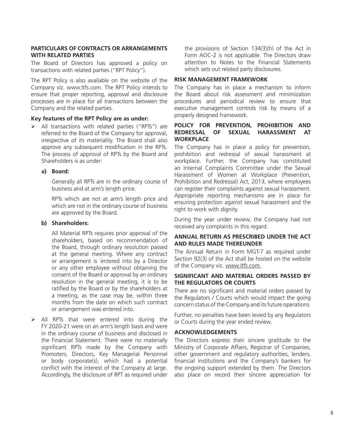#### **PARTICULARS OF CONTRACTS OR ARRANGEMENTS WITH RELATED PARTIES**

The Board of Directors has approved a policy on transactions with related parties ("RPT Policy").

The RPT Policy is also available on the website of the Company viz. www.ltfs.com. The RPT Policy intends to ensure that proper reporting, approval and disclosure processes are in place for all transactions between the Company and the related parties.

#### **Key features of the RPT Policy are as under:**

 $\triangleright$  All transactions with related parties ("RPTs") are referred to the Board of the Company for approval, irrespective of its materiality. The Board shall also approve any subsequent modification in the RPTs. The process of approval of RPTs by the Board and Shareholders is as under:

#### **a) Board:**

Generally all RPTs are in the ordinary course of business and at arm's length price.

RPTs which are not at arm's length price and which are not in the ordinary course of business are approved by the Board.

#### **b) Shareholders:**

All Material RPTs requires prior approval of the shareholders, based on recommendation of the Board, through ordinary resolution passed at the general meeting. Where any contract or arrangement is `entered into by a Director or any other employee without obtaining the consent of the Board or approval by an ordinary resolution in the general meeting, it is to be ratified by the Board or by the shareholders at a meeting, as the case may be, within three months from the date on which such contract or arrangement was entered into.

 $\triangleright$  All RPTs that were entered into during the FY 2020-21 were on an arm's length basis and were in the ordinary course of business and disclosed in the Financial Statement. There were no materially significant RPTs made by the Company with Promoters, Directors, Key Managerial Personnel or body corporate(s), which had a potential conflict with the interest of the Company at large. Accordingly, the disclosure of RPT as required under the provisions of Section 134(3)(h) of the Act in Form AOC-2 is not applicable. The Directors draw attention to Notes to the Financial Statements which sets out related party disclosures.

#### **RISK MANAGEMENT FRAMEWORK**

The Company has in place a mechanism to inform the Board about risk assessment and minimization procedures and periodical review to ensure that executive management controls risk by means of a properly designed framework.

#### **POLICY FOR PREVENTION, PROHIBITION AND REDRESSAL OF SEXUAL HARASSMENT AT WORKPLACE**

The Company has in place a policy for prevention, prohibition and redressal of sexual harassment at workplace. Further, the Company has constituted an Internal Complaints Committee under the Sexual Harassment of Women at Workplace (Prevention, Prohibition and Redressal) Act, 2013, where employees can register their complaints against sexual harassment. Appropriate reporting mechanisms are in place for ensuring protection against sexual harassment and the right to work with dignity.

During the year under review, the Company had not received any complaints in this regard.

#### **ANNUAL RETURN AS PRESCRIBED UNDER THE ACT AND RULES MADE THEREUNDER**

The Annual Return in Form MGT-7 as required under Section 92(3) of the Act shall be hosted on the website of the Company viz. *www.ltfs.com*.

#### **SIGNIFICANT AND MATERIAL ORDERS PASSED BY THE REGULATORS OR COURTS**

There are no significant and material orders passed by the Regulators / Courts which would impact the going concern status of the Company and its future operations.

Further, no penalties have been levied by any Regulators or Courts during the year ended review.

#### **ACKNOWLEDGEMENTS**

The Directors express their sincere gratitude to the Ministry of Corporate Affairs, Registrar of Companies, other government and regulatory authorities, lenders, financial institutions and the Company's bankers for the ongoing support extended by them. The Directors also place on record their sincere appreciation for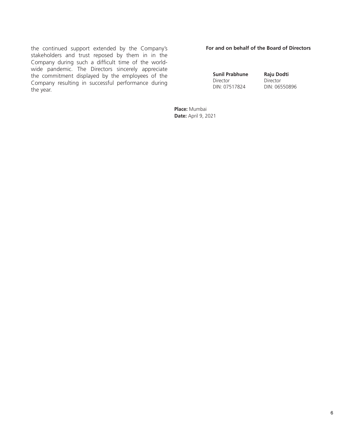the continued support extended by the Company's stakeholders and trust reposed by them in in the Company during such a difficult time of the worldwide pandemic. The Directors sincerely appreciate the commitment displayed by the employees of the Company resulting in successful performance during the year.

#### **For and on behalf of the Board of Directors**

**Sunil Prabhune Raju Dodti**<br> **Director Director** Director Director<br>DIN: 07517824 DIN: 06550896 DIN: 07517824

**Place:** Mumbai **Date:** April 9, 2021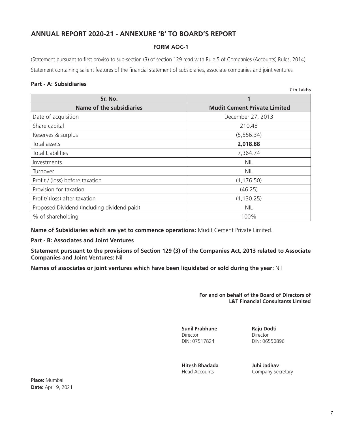# **ANNUAL REPORT 2020-21 - ANNEXURE 'B' TO BOARD'S REPORT**

#### **FORM AOC-1**

(Statement pursuant to first proviso to sub-section (3) of section 129 read with Rule 5 of Companies (Accounts) Rules, 2014) Statement containing salient features of the financial statement of subsidiaries, associate companies and joint ventures

#### **Part - A: Subsidiaries**

| Sr. No.                                     |                                     |
|---------------------------------------------|-------------------------------------|
| <b>Name of the subsidiaries</b>             | <b>Mudit Cement Private Limited</b> |
| Date of acquisition                         | December 27, 2013                   |
| Share capital                               | 210.48                              |
| Reserves & surplus                          | (5, 556.34)                         |
| Total assets                                | 2,018.88                            |
| <b>Total Liabilities</b>                    | 7,364.74                            |
| Investments                                 | <b>NIL</b>                          |
| Turnover                                    | <b>NIL</b>                          |
| Profit / (loss) before taxation             | (1, 176.50)                         |
| Provision for taxation                      | (46.25)                             |
| Profit/ (loss) after taxation               | (1, 130.25)                         |
| Proposed Dividend (Including dividend paid) | <b>NIL</b>                          |
| % of shareholding                           | 100%                                |

**Name of Subsidiaries which are yet to commence operations:** Mudit Cement Private Limited.

#### **Part - B: Associates and Joint Ventures**

**Statement pursuant to the provisions of Section 129 (3) of the Companies Act, 2013 related to Associate Companies and Joint Ventures:** Nil

**Names of associates or joint ventures which have been liquidated or sold during the year:** Nil

**For and on behalf of the Board of Directors of L&T Financial Consultants Limited**

**Sunil Prabhune**  Director DIN: 07517824

**Raju Dodti** Director DIN: 06550896 R **in Lakhs**

**Hitesh Bhadada** Head Accounts

**Juhi Jadhav** Company Secretary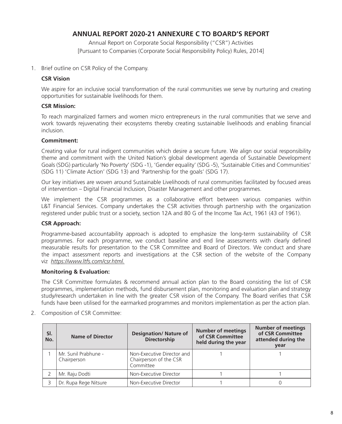# **ANNUAL REPORT 2020-21 ANNEXURE C TO BOARD'S REPORT**

Annual Report on Corporate Social Responsibility ("CSR") Activities [Pursuant to Companies (Corporate Social Responsibility Policy) Rules, 2014]

1. Brief outline on CSR Policy of the Company.

#### **CSR Vision**

We aspire for an inclusive social transformation of the rural communities we serve by nurturing and creating opportunities for sustainable livelihoods for them.

#### **CSR Mission:**

To reach marginalized farmers and women micro entrepreneurs in the rural communities that we serve and work towards rejuvenating their ecosystems thereby creating sustainable livelihoods and enabling financial inclusion.

#### **Commitment:**

Creating value for rural indigent communities which desire a secure future. We align our social responsibility theme and commitment with the United Nation's global development agenda of Sustainable Development Goals (SDG) particularly 'No Poverty' (SDG -1), 'Gender equality' (SDG -5), 'Sustainable Cities and Communities' (SDG 11) 'Climate Action' (SDG 13) and 'Partnership for the goals' (SDG 17).

Our key initiatives are woven around Sustainable Livelihoods of rural communities facilitated by focused areas of intervention – Digital Financial Inclusion, Disaster Management and other programmes.

We implement the CSR programmes as a collaborative effort between various companies within L&T Financial Services. Company undertakes the CSR activities through partnership with the organization registered under public trust or a society, section 12A and 80 G of the Income Tax Act, 1961 (43 of 1961).

#### **CSR Approach:**

Programme-based accountability approach is adopted to emphasize the long-term sustainability of CSR programmes. For each programme, we conduct baseline and end line assessments with clearly defined measurable results for presentation to the CSR Committee and Board of Directors. We conduct and share the impact assessment reports and investigations at the CSR section of the website of the Company viz *https://www.ltfs.com/csr.html.*

#### **Monitoring & Evaluation:**

The CSR Committee formulates & recommend annual action plan to the Board consisting the list of CSR programmes, implementation methods, fund disbursement plan, monitoring and evaluation plan and strategy study/research undertaken in line with the greater CSR vision of the Company. The Board verifies that CSR funds have been utilised for the earmarked programmes and monitors implementation as per the action plan.

2. Composition of CSR Committee:

| SI.<br>No. | <b>Name of Director</b>             | <b>Designation/ Nature of</b><br><b>Directorship</b>              | <b>Number of meetings</b><br>of CSR Committee<br>held during the year | <b>Number of meetings</b><br>of CSR Committee<br>attended during the<br>year |
|------------|-------------------------------------|-------------------------------------------------------------------|-----------------------------------------------------------------------|------------------------------------------------------------------------------|
|            | Mr. Sunil Prabhune -<br>Chairperson | Non-Executive Director and<br>Chairperson of the CSR<br>Committee |                                                                       |                                                                              |
|            | Mr. Raju Dodti                      | Non-Executive Director                                            |                                                                       |                                                                              |
|            | Dr. Rupa Rege Nitsure               | Non-Executive Director                                            |                                                                       |                                                                              |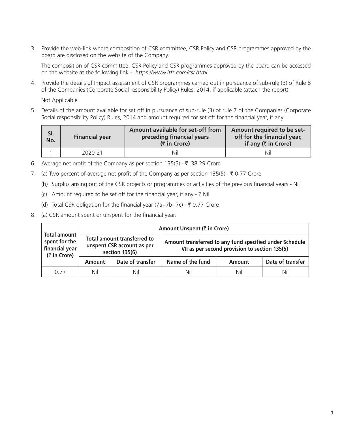3. Provide the web-link where composition of CSR committee, CSR Policy and CSR programmes approved by the board are disclosed on the website of the Company.

The composition of CSR committee, CSR Policy and CSR programmes approved by the board can be accessed on the website at the following link - *https://www.ltfs.com/csr.html*

4. Provide the details of Impact assessment of CSR programmes carried out in pursuance of sub-rule (3) of Rule 8 of the Companies (Corporate Social responsibility Policy) Rules, 2014, if applicable (attach the report).

Not Applicable

5. Details of the amount available for set off in pursuance of sub-rule (3) of rule 7 of the Companies (Corporate Social responsibility Policy) Rules, 2014 and amount required for set off for the financial year, if any

| SI.<br>No. | <b>Financial year</b> | Amount available for set-off from<br>preceding financial years<br>(₹ in Crore) | Amount required to be set-<br>off for the financial year,<br>if any ( $\bar{z}$ in Crore) |
|------------|-----------------------|--------------------------------------------------------------------------------|-------------------------------------------------------------------------------------------|
|            | 2020-21               | Nil                                                                            | Nil                                                                                       |

- 6. Average net profit of the Company as per section 135(5)  $\bar{\tau}$  38.29 Crore
- 7. (a) Two percent of average net profit of the Company as per section 135(5)  $\bar{\tau}$  0.77 Crore
	- (b) Surplus arising out of the CSR projects or programmes or activities of the previous financial years Nil
	- (c) Amount required to be set off for the financial year, if any  $\bar{\tau}$  Nil
	- (d) Total CSR obligation for the financial year (7a+7b- 7c)  $\bar{\tau}$  0.77 Crore
- 8. (a) CSR amount spent or unspent for the financial year:

| <b>Total amount</b><br>spent for the<br>financial year<br>(₹ in Crore) | Amount Unspent (₹ in Crore) |                                                                             |                                                                                                          |        |                  |  |  |
|------------------------------------------------------------------------|-----------------------------|-----------------------------------------------------------------------------|----------------------------------------------------------------------------------------------------------|--------|------------------|--|--|
|                                                                        |                             | Total amount transferred to<br>unspent CSR account as per<br>section 135(6) | Amount transferred to any fund specified under Schedule<br>VII as per second provision to section 135(5) |        |                  |  |  |
|                                                                        | Amount                      | Date of transfer                                                            | Name of the fund                                                                                         | Amount | Date of transfer |  |  |
| 0.77                                                                   | Nil                         | Nil                                                                         | Nil                                                                                                      | Nil    | Nil              |  |  |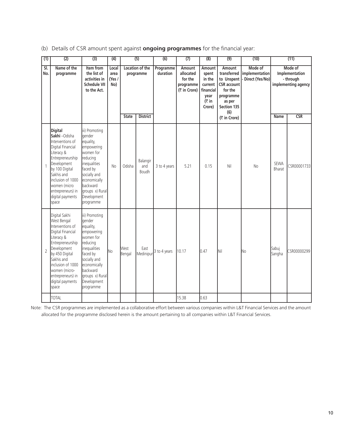(b) Details of CSR amount spent against **ongoing programmes** for the financial year:

| $\overline{(1)}$ | $\overline{(2)}$                                                                                                                                                                                                                                         | $\overline{(3)}$                                                                                                                                                                                               | $\overline{(4)}$               |                       | $\overline{(5)}$             | $\overline{(6)}$      | $\overline{(7)}$                                            | $\overline{(8)}$                                                             | $\overline{(9)}$                                                                                   | (10)                                                       |                       | (11)                                                          |
|------------------|----------------------------------------------------------------------------------------------------------------------------------------------------------------------------------------------------------------------------------------------------------|----------------------------------------------------------------------------------------------------------------------------------------------------------------------------------------------------------------|--------------------------------|-----------------------|------------------------------|-----------------------|-------------------------------------------------------------|------------------------------------------------------------------------------|----------------------------------------------------------------------------------------------------|------------------------------------------------------------|-----------------------|---------------------------------------------------------------|
| sī.<br>No.       | Name of the<br>programme                                                                                                                                                                                                                                 | Item from<br>the list of<br>activities in<br><b>Schedule VII</b><br>to the Act.                                                                                                                                | Local<br>area<br>(Yes /<br>No) |                       | Location of the<br>programme | Programme<br>duration | Amount<br>allocated<br>for the<br>programme<br>(₹ in Crore) | Amount<br>spent<br>in the<br>current<br>financial<br>year<br>(₹ in<br>Crore) | Amount<br>to Unspent<br><b>CSR</b> account<br>for the<br>programme<br>as per<br>Section 135<br>(6) | Mode of<br>transferred   implementation<br>Direct (Yes/No) |                       | Mode of<br>Implementation<br>- through<br>implementing agency |
|                  |                                                                                                                                                                                                                                                          |                                                                                                                                                                                                                |                                | <b>State</b>          | <b>District</b>              |                       |                                                             |                                                                              | (₹ in Crore)                                                                                       |                                                            | <b>Name</b>           | $\overline{\text{CSR}}$                                       |
| $\overline{1}$   | <b>Digital</b><br><b>Sakhi</b> -Odisha<br>Interventions of<br>Digital Financial<br>Literacy &<br>Entrepreneurship<br>Development<br>by 100 Digital<br>Sakhis and<br>linclusion of 1000<br>women (micro<br>entrepreneurs) in<br>digital payments<br>space | iii) Promoting<br>gender<br>lequality,<br>empowering<br>Iwomen for<br><b>I</b> reducina<br>inequalities<br>faced by<br>socially and<br>economically<br>backward<br>groups x) Rural<br>Development<br>programme | <b>No</b>                      | Odisha                | Balangir<br>and<br>Boudh     | 3 to 4 years          | 5.21                                                        | 0.15                                                                         | Nil                                                                                                | <b>No</b>                                                  | SEWA<br><b>Bharat</b> | CSR00001733                                                   |
| $\overline{2}$   | Digital Sakhi<br>West Bengal<br>Interventions of<br>Digital Financial<br>Literacy &<br>Entrepreneurship<br>Development<br>by 450 Digital<br>Sakhis and<br>linclusion of 1000<br>women (micro-<br>entrepreneurs) in<br>digital payments<br>space          | iii) Promoting<br>gender<br>equality,<br>empowering<br>women for<br>reducing<br>inequalities<br>faced by<br>socially and<br>economically<br>backward<br>groups x) Rural<br>Development<br>programme            | INo.                           | <b>West</b><br>Bengal | East<br>Medinipur            | 3 to 4 years          | 10.17                                                       | 0.47                                                                         | Inii                                                                                               | lNo                                                        | Sabuj<br>Sangha       | CSR00000299                                                   |
|                  | <b>TOTAL</b>                                                                                                                                                                                                                                             |                                                                                                                                                                                                                |                                |                       |                              |                       | 15.38                                                       | 0.63                                                                         |                                                                                                    |                                                            |                       |                                                               |

Note: The CSR programmes are implemented as a collaborative effort between various companies within L&T Financial Services and the amount allocated for the programme disclosed herein is the amount pertaining to all companies within L&T Financial Services.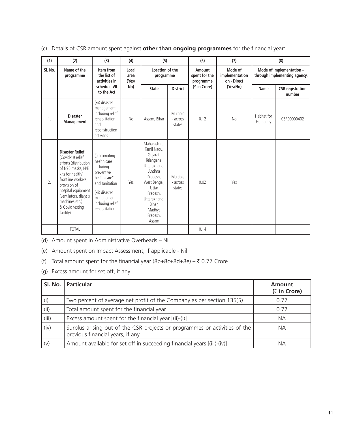| (1)     | (2)                                                                                                                                                                                                                                                  | (3)                                                                                                                                                               | (4)                    | (5)                                                                                                                                                                                       |                                | (6)          | (7)                                  |                         | (8)                                      |                                                          |  |
|---------|------------------------------------------------------------------------------------------------------------------------------------------------------------------------------------------------------------------------------------------------------|-------------------------------------------------------------------------------------------------------------------------------------------------------------------|------------------------|-------------------------------------------------------------------------------------------------------------------------------------------------------------------------------------------|--------------------------------|--------------|--------------------------------------|-------------------------|------------------------------------------|----------------------------------------------------------|--|
| Sl. No. | Name of the<br>programme                                                                                                                                                                                                                             | Item from<br>the list of<br>activities in                                                                                                                         | Local<br>area<br>(Yes/ |                                                                                                                                                                                           | Location of the<br>programme   |              | Amount<br>spent for the<br>programme |                         | Mode of<br>implementation<br>on - Direct | Mode of implementation -<br>through implementing agency. |  |
|         |                                                                                                                                                                                                                                                      | schedule VII<br>to the Act                                                                                                                                        | No)                    | <b>State</b>                                                                                                                                                                              | <b>District</b>                | (₹ in Crore) | (Yes/No)                             | Name                    | <b>CSR</b> registration<br>number        |                                                          |  |
| 1.      | <b>Disaster</b><br>Management                                                                                                                                                                                                                        | (xii) disaster<br>management,<br>including relief,<br>rehabilitation<br>and<br>reconstruction<br>activities                                                       | <b>No</b>              | Assam, Bihar                                                                                                                                                                              | Multiple<br>- across<br>states | 0.12         | <b>No</b>                            | Habitat for<br>Humanity | CSR00000402                              |                                                          |  |
| 2.      | <b>Disaster Relief</b><br>(Covid-19 relief<br>efforts (distribution<br>of N95 masks. PPE<br>kits for health/<br>frontline workers;<br>provision of<br>hospital equipment<br>(ventilators, dialysis<br>machines etc.)<br>& Covid testing<br>facility) | (i) promoting<br>health care<br>including<br>preventive<br>health care"<br>and sanitation<br>(xii) disaster<br>management,<br>including relief,<br>rehabilitation | Yes                    | Maharashtra.<br>Tamil Nadu.<br>Gujarat,<br>Telangana,<br>Uttarakhand.<br>Andhra<br>Pradesh.<br>West Bengal,<br>Uttar<br>Pradesh,<br>Uttarakhand.<br>Bihar,<br>Madhya<br>Pradesh,<br>Assam | Multiple<br>- across<br>states | 0.02         | Yes                                  |                         |                                          |                                                          |  |
|         | <b>TOTAL</b>                                                                                                                                                                                                                                         |                                                                                                                                                                   |                        |                                                                                                                                                                                           |                                | 0.14         |                                      |                         |                                          |                                                          |  |

(c) Details of CSR amount spent against **other than ongoing programmes** for the financial year:

(d) Amount spent in Administrative Overheads – Nil

(e) Amount spent on Impact Assessment, if applicable - Nil

(f) Total amount spent for the financial year  $(8b+8c+8d+8e) - \overline{5}$  0.77 Crore

(g) Excess amount for set off, if any

|       | Sl. No.   Particular                                                                                           | <b>Amount</b><br>(₹ in Crore) |
|-------|----------------------------------------------------------------------------------------------------------------|-------------------------------|
| (i)   | Two percent of average net profit of the Company as per section 135(5)                                         | 0.77                          |
| (ii)  | Total amount spent for the financial year                                                                      | 0.77                          |
| (iii) | Excess amount spent for the financial year [(ii)-(i)]                                                          | NА                            |
| (iv)  | Surplus arising out of the CSR projects or programmes or activities of the<br>previous financial years, if any | <b>NA</b>                     |
| (v)   | Amount available for set off in succeeding financial years [(iii)-(iv)]                                        | NА                            |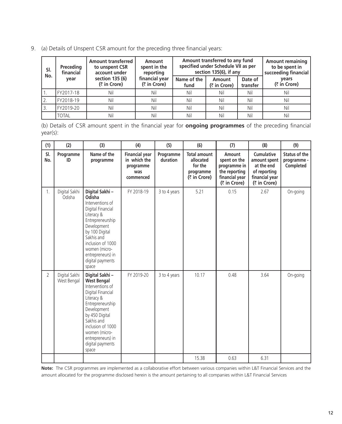9. (a) Details of Unspent CSR amount for the preceding three financial years:

| SI.<br>No.     | Preceding<br>financial | <b>Amount transferred</b><br>to unspent CSR<br>account under | Amount<br>spent in the<br>reporting |                     | Amount transferred to any fund<br>specified under Schedule VII as per<br>section 135(6), if any |                     | <b>Amount remaining</b><br>to be spent in<br>succeeding financial |
|----------------|------------------------|--------------------------------------------------------------|-------------------------------------|---------------------|-------------------------------------------------------------------------------------------------|---------------------|-------------------------------------------------------------------|
|                | year                   | section 135 (6)<br>(₹ in Crore)                              | financial year<br>(₹ in Crore)      | Name of the<br>fund | Amount<br>(₹ in Crore)                                                                          | Date of<br>transfer | vears<br>(₹ in Crore)                                             |
|                | FY2017-18              | Nil                                                          | Nil                                 | Nil                 | Nil                                                                                             | Nil                 | Nil                                                               |
|                | FY2018-19              | Nil                                                          | Nil                                 | Nil                 | Nil                                                                                             | Nil                 | Nil                                                               |
| $\overline{3}$ | FY2019-20              | Nil                                                          | Nil                                 | Nil                 | Nil                                                                                             | Nil                 | Nil                                                               |
|                | <b>TOTAL</b>           | Nil                                                          | Nil                                 | Nil                 | Nil                                                                                             | Nil                 | Nil                                                               |

(b) Details of CSR amount spent in the financial year for **ongoing programmes** of the preceding financial year(s):

| (1)            | (2)                          | (3)                                                                                                                                                                                                                                                    | (4)                                                                    | (5)                   | (6)                                                                      | (7)                                                                                       | (8)                                                                                        | (9)                                       |
|----------------|------------------------------|--------------------------------------------------------------------------------------------------------------------------------------------------------------------------------------------------------------------------------------------------------|------------------------------------------------------------------------|-----------------------|--------------------------------------------------------------------------|-------------------------------------------------------------------------------------------|--------------------------------------------------------------------------------------------|-------------------------------------------|
| SI.<br>No.     | Programme<br>ID              | Name of the<br>programme                                                                                                                                                                                                                               | <b>Financial year</b><br>in which the<br>programme<br>was<br>commenced | Programme<br>duration | <b>Total amount</b><br>allocated<br>for the<br>programme<br>(₹ in Crore) | Amount<br>spent on the<br>programme in<br>the reporting<br>financial year<br>(₹ in Crore) | Cumulative<br>amount spent<br>at the end<br>of reporting<br>financial year<br>(₹ in Crore) | Status of the<br>programme -<br>Completed |
| 1.             | Digital Sakhi<br>Odisha      | Digital Sakhi -<br>Odisha<br>Interventions of<br>Digital Financial<br>Literacy &<br>Entrepreneurship<br>Development<br>by 100 Digital<br>Sakhis and<br>inclusion of 1000<br>women (micro-<br>entrepreneurs) in<br>digital payments<br>space            | FY 2018-19                                                             | 3 to 4 years          | 5.21                                                                     | 0.15                                                                                      | 2.67                                                                                       | On-going                                  |
| $\overline{2}$ | Digital Sakhi<br>West Bengal | Digital Sakhi-<br><b>West Bengal</b><br>Interventions of<br>Digital Financial<br>Literacy &<br>Entrepreneurship<br>Development<br>by 450 Digital<br>Sakhis and<br>inclusion of 1000<br>women (micro-<br>entrepreneurs) in<br>digital payments<br>space | FY 2019-20                                                             | 3 to 4 years          | 10.17                                                                    | 0.48                                                                                      | 3.64                                                                                       | On-going                                  |
|                |                              |                                                                                                                                                                                                                                                        |                                                                        |                       | 15.38                                                                    | 0.63                                                                                      | 6.31                                                                                       |                                           |

**Note:** The CSR programmes are implemented as a collaborative effort between various companies within L&T Financial Services and the amount allocated for the programme disclosed herein is the amount pertaining to all companies within L&T Financial Services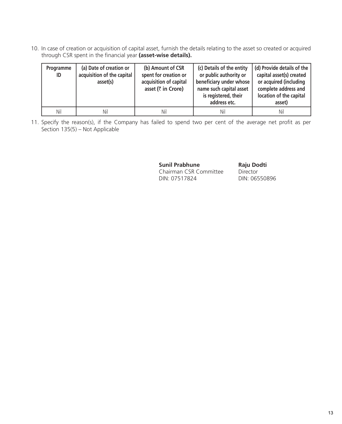10. In case of creation or acquisition of capital asset, furnish the details relating to the asset so created or acquired through CSR spent in the financial year **(asset-wise details).**

| Programme<br>ID | (a) Date of creation or<br>acquisition of the capital<br>asset(s) | (b) Amount of CSR<br>spent for creation or<br>acquisition of capital<br>asset $(3 \in \mathbb{R})$ in Crore) | (c) Details of the entity<br>or public authority or<br>beneficiary under whose<br>name such capital asset<br>is registered, their<br>address etc. | (d) Provide details of the<br>capital asset(s) created<br>or acquired (including<br>complete address and<br>location of the capital<br>asset) |
|-----------------|-------------------------------------------------------------------|--------------------------------------------------------------------------------------------------------------|---------------------------------------------------------------------------------------------------------------------------------------------------|-----------------------------------------------------------------------------------------------------------------------------------------------|
| Nil             | Nil                                                               | Nil                                                                                                          | Nil                                                                                                                                               | Nil                                                                                                                                           |

11. Specify the reason(s), if the Company has failed to spend two per cent of the average net profit as per Section  $135(5)$  – Not Applicable

**Sunil Prabhune** 

Chairman CSR Committee DIN: 07517824

#### **Raju Dodti** Director DIN: 06550896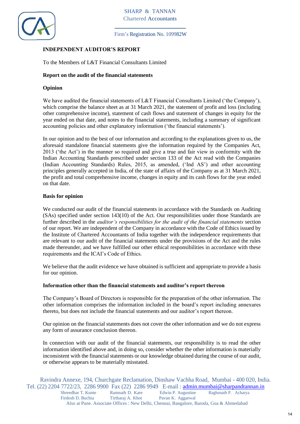

Firm's Registration No. 109982W

#### **INDEPENDENT AUDITOR'S REPORT**

To the Members of L&T Financial Consultants Limited

#### **Report on the audit of the financial statements**

#### **Opinion**

We have audited the financial statements of L&T Financial Consultants Limited ('the Company'), which comprise the balance sheet as at 31 March 2021, the statement of profit and loss (including other comprehensive income), statement of cash flows and statement of changes in equity for the year ended on that date, and notes to the financial statements, including a summary of significant accounting policies and other explanatory information ('the financial statements').

In our opinion and to the best of our information and according to the explanations given to us, the aforesaid standalone financial statements give the information required by the Companies Act, 2013 ('the Act') in the manner so required and give a true and fair view in conformity with the Indian Accounting Standards prescribed under section 133 of the Act read with the Companies (Indian Accounting Standards) Rules, 2015, as amended, ('Ind AS') and other accounting principles generally accepted in India, of the state of affairs of the Company as at 31 March 2021, the profit and total comprehensive income, changes in equity and its cash flows for the year ended on that date.

#### **Basis for opinion**

We conducted our audit of the financial statements in accordance with the Standards on Auditing (SAs) specified under section 143(10) of the Act. Our responsibilities under those Standards are further described in the *auditor's responsibilities for the audit of the financial statements* section of our report. We are independent of the Company in accordance with the Code of Ethics issued by the Institute of Chartered Accountants of India together with the independence requirements that are relevant to our audit of the financial statements under the provisions of the Act and the rules made thereunder, and we have fulfilled our other ethical responsibilities in accordance with these requirements and the ICAI's Code of Ethics.

We believe that the audit evidence we have obtained is sufficient and appropriate to provide a basis for our opinion.

#### **Information other than the financial statements and auditor's report thereon**

The Company's Board of Directors is responsible for the preparation of the other information. The other information comprises the information included in the board's report including annexures thereto, but does not include the financial statements and our auditor's report thereon.

Our opinion on the financial statements does not cover the other information and we do not express any form of assurance conclusion thereon.

In connection with our audit of the financial statements, our responsibility is to read the other information identified above and, in doing so, consider whether the other information is materially inconsistent with the financial statements or our knowledge obtained during the course of our audit, or otherwise appears to be materially misstated.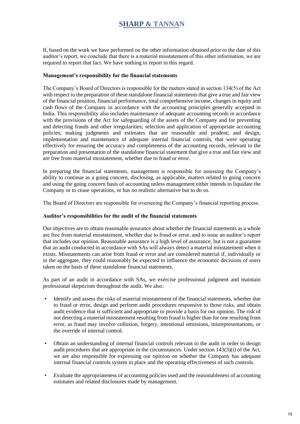If, based on the work we have performed on the other information obtained prior to the date of this auditor's report, we conclude that there is a material misstatement of this other information, we are required to report that fact. We have nothing to report in this regard.

#### **Management's responsibility for the financial statements**

The Company's Board of Directors is responsible for the matters stated in section 134(5) of the Act with respect to the preparation of these standalone financial statements that give a true and fair view of the financial position, financial performance, total comprehensive income, changes in equity and cash flows of the Company in accordance with the accounting principles generally accepted in India. This responsibility also includes maintenance of adequate accounting records in accordance with the provisions of the Act for safeguarding of the assets of the Company and for preventing and detecting frauds and other irregularities; selection and application of appropriate accounting policies; making judgments and estimates that are reasonable and prudent; and design, implementation and maintenance of adequate internal financial controls, that were operating effectively for ensuring the accuracy and completeness of the accounting records, relevant to the preparation and presentation of the standalone financial statement that give a true and fair view and are free from material misstatement, whether due to fraud or error.

In preparing the financial statements, management is responsible for assessing the Company's ability to continue as a going concern, disclosing, as applicable, matters related to going concern and using the going concern basis of accounting unless management either intends to liquidate the Company or to cease operations, or has no realistic alternative but to do so.

The Board of Directors are responsible for overseeing the Company's financial reporting process.

#### **Auditor's responsibilities for the audit of the financial statements**

Our objectives are to obtain reasonable assurance about whether the financial statements as a whole are free from material misstatement, whether due to fraud or error, and to issue an auditor's report that includes our opinion. Reasonable assurance is a high level of assurance, but is not a guarantee that an audit conducted in accordance with SAs will always detect a material misstatement when it exists. Misstatements can arise from fraud or error and are considered material if, individually or in the aggregate, they could reasonably be expected to influence the economic decisions of users taken on the basis of these standalone financial statements.

As part of an audit in accordance with SAs, we exercise professional judgment and maintain professional skepticism throughout the audit. We also:

- Identify and assess the risks of material misstatement of the financial statements, whether due to fraud or error, design and perform audit procedures responsive to those risks, and obtain audit evidence that is sufficient and appropriate to provide a basis for our opinion. The risk of not detecting a material misstatement resulting from fraud is higher than for one resulting from error, as fraud may involve collusion, forgery, intentional omissions, misrepresentations, or the override of internal control.
- Obtain an understanding of internal financial controls relevant to the audit in order to design audit procedures that are appropriate in the circumstances. Under section 143(3)(i) of the Act, we are also responsible for expressing our opinion on whether the Company has adequate internal financial controls system in place and the operating effectiveness of such controls.
- Evaluate the appropriateness of accounting policies used and the reasonableness of accounting estimates and related disclosures made by management.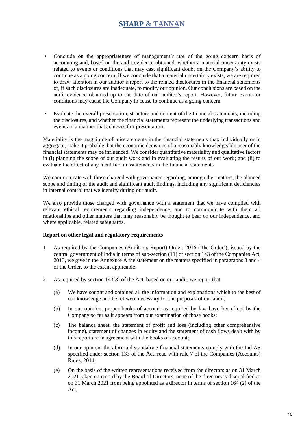- Conclude on the appropriateness of management's use of the going concern basis of accounting and, based on the audit evidence obtained, whether a material uncertainty exists related to events or conditions that may cast significant doubt on the Company's ability to continue as a going concern. If we conclude that a material uncertainty exists, we are required to draw attention in our auditor's report to the related disclosures in the financial statements or, if such disclosures are inadequate, to modify our opinion. Our conclusions are based on the audit evidence obtained up to the date of our auditor's report. However, future events or conditions may cause the Company to cease to continue as a going concern.
- Evaluate the overall presentation, structure and content of the financial statements, including the disclosures, and whether the financial statements represent the underlying transactions and events in a manner that achieves fair presentation.

Materiality is the magnitude of misstatements in the financial statements that, individually or in aggregate, make it probable that the economic decisions of a reasonably knowledgeable user of the financial statements may be influenced. We consider quantitative materiality and qualitative factors in (i) planning the scope of our audit work and in evaluating the results of our work; and (ii) to evaluate the effect of any identified misstatements in the financial statements.

We communicate with those charged with governance regarding, among other matters, the planned scope and timing of the audit and significant audit findings, including any significant deficiencies in internal control that we identify during our audit.

We also provide those charged with governance with a statement that we have complied with relevant ethical requirements regarding independence, and to communicate with them all relationships and other matters that may reasonably be thought to bear on our independence, and where applicable, related safeguards.

#### **Report on other legal and regulatory requirements**

- 1 As required by the Companies (Auditor's Report) Order, 2016 ('the Order'), issued by the central government of India in terms of sub-section (11) of section 143 of the Companies Act, 2013, we give in the Annexure A the statement on the matters specified in paragraphs 3 and 4 of the Order, to the extent applicable.
- 2 As required by section 143(3) of the Act, based on our audit, we report that:
	- (a) We have sought and obtained all the information and explanations which to the best of our knowledge and belief were necessary for the purposes of our audit;
	- (b) In our opinion, proper books of account as required by law have been kept by the Company so far as it appears from our examination of those books;
	- (c) The balance sheet, the statement of profit and loss (including other comprehensive income), statement of changes in equity and the statement of cash flows dealt with by this report are in agreement with the books of account;
	- (d) In our opinion, the aforesaid standalone financial statements comply with the Ind AS specified under section 133 of the Act, read with rule 7 of the Companies (Accounts) Rules, 2014;
	- (e) On the basis of the written representations received from the directors as on 31 March 2021 taken on record by the Board of Directors, none of the directors is disqualified as on 31 March 2021 from being appointed as a director in terms of section 164 (2) of the Act;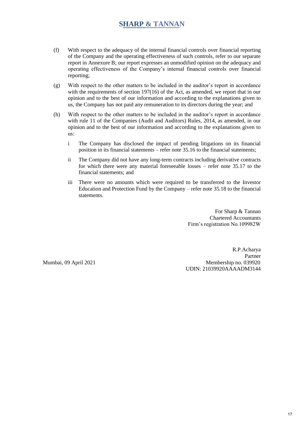- (f) With respect to the adequacy of the internal financial controls over financial reporting of the Company and the operating effectiveness of such controls, refer to our separate report in Annexure B; our report expresses an unmodified opinion on the adequacy and operating effectiveness of the Company's internal financial controls over financial reporting;
- (g) With respect to the other matters to be included in the auditor's report in accordance with the requirements of section 197(16) of the Act, as amended, we report that in our opinion and to the best of our information and according to the explanations given to us, the Company has not paid any remuneration to its directors during the year; and
- (h) With respect to the other matters to be included in the auditor's report in accordance with rule 11 of the Companies (Audit and Auditors) Rules, 2014, as amended, in our opinion and to the best of our information and according to the explanations given to us:
	- i The Company has disclosed the impact of pending litigations on its financial position in its financial statements – refer note 35.16 to the financial statements;
	- ii The Company did not have any long-term contracts including derivative contracts for which there were any material foreseeable losses – refer note 35.17 to the financial statements; and
	- iii There were no amounts which were required to be transferred to the Investor Education and Protection Fund by the Company – refer note 35.18 to the financial statements.

For Sharp & Tannan Chartered Accountants Firm's registration No.109982W

R.P.Acharya Partner Mumbai, 09 April 2021 Membership no. 039920 UDIN: 21039920AAAADM3144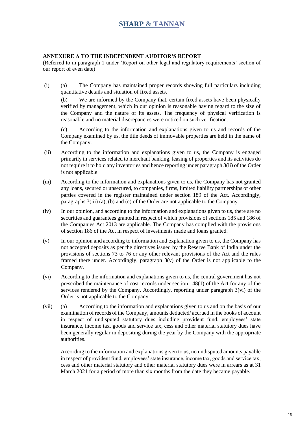#### **ANNEXURE A TO THE INDEPENDENT AUDITOR'S REPORT**

(Referred to in paragraph 1 under 'Report on other legal and regulatory requirements' section of our report of even date)

(i) (a) The Company has maintained proper records showing full particulars including quantitative details and situation of fixed assets.

(b) We are informed by the Company that, certain fixed assets have been physically verified by management, which in our opinion is reasonable having regard to the size of the Company and the nature of its assets. The frequency of physical verification is reasonable and no material discrepancies were noticed on such verification.

(c) According to the information and explanations given to us and records of the Company examined by us, the title deeds of immovable properties are held in the name of the Company.

- (ii) According to the information and explanations given to us, the Company is engaged primarily in services related to merchant banking, leasing of properties and its activities do not require it to hold any inventories and hence reporting under paragraph 3(ii) of the Order is not applicable.
- (iii) According to the information and explanations given to us, the Company has not granted any loans, secured or unsecured, to companies, firms, limited liability partnerships or other parties covered in the register maintained under section 189 of the Act. Accordingly, paragraphs 3(iii) (a), (b) and (c) of the Order are not applicable to the Company.
- (iv) In our opinion, and according to the information and explanations given to us, there are no securities and guarantees granted in respect of which provisions of sections 185 and 186 of the Companies Act 2013 are applicable. The Company has complied with the provisions of section 186 of the Act in respect of investments made and loans granted.
- (v) In our opinion and according to information and explanation given to us, the Company has not accepted deposits as per the directives issued by the Reserve Bank of India under the provisions of sections 73 to 76 or any other relevant provisions of the Act and the rules framed there under. Accordingly, paragraph 3(v) of the Order is not applicable to the Company.
- (vi) According to the information and explanations given to us, the central government has not prescribed the maintenance of cost records under section 148(1) of the Act for any of the services rendered by the Company. Accordingly, reporting under paragraph 3(vi) of the Order is not applicable to the Company
- (vii) (a) According to the information and explanations given to us and on the basis of our examination of records of the Company, amounts deducted/ accrued in the books of account in respect of undisputed statutory dues including provident fund, employees' state insurance, income tax, goods and service tax, cess and other material statutory dues have been generally regular in depositing during the year by the Company with the appropriate authorities.

According to the information and explanations given to us, no undisputed amounts payable in respect of provident fund, employees' state insurance, income tax, goods and service tax, cess and other material statutory and other material statutory dues were in arrears as at 31 March 2021 for a period of more than six months from the date they became payable.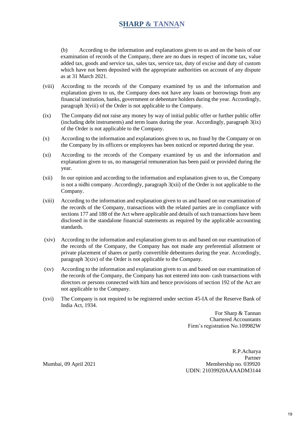(b) According to the information and explanations given to us and on the basis of our examination of records of the Company, there are no dues in respect of income tax, value added tax, goods and service tax, sales tax, service tax, duty of excise and duty of custom which have not been deposited with the appropriate authorities on account of any dispute as at 31 March 2021.

- (viii) According to the records of the Company examined by us and the information and explanation given to us, the Company does not have any loans or borrowings from any financial institution, banks, government or debenture holders during the year. Accordingly, paragraph 3(viii) of the Order is not applicable to the Company.
- (ix) The Company did not raise any money by way of initial public offer or further public offer (including debt instruments) and term loans during the year. Accordingly, paragraph 3(ix) of the Order is not applicable to the Company.
- (x) According to the information and explanations given to us, no fraud by the Company or on the Company by its officers or employees has been noticed or reported during the year.
- (xi) According to the records of the Company examined by us and the information and explanation given to us, no managerial remuneration has been paid or provided during the year.
- (xii) In our opinion and according to the information and explanation given to us, the Company is not a nidhi company. Accordingly, paragraph  $3(xii)$  of the Order is not applicable to the Company.
- (xiii) According to the information and explanation given to us and based on our examination of the records of the Company, transactions with the related parties are in compliance with sections 177 and 188 of the Act where applicable and details of such transactions have been disclosed in the standalone financial statements as required by the applicable accounting standards.
- (xiv) According to the information and explanation given to us and based on our examination of the records of the Company, the Company has not made any preferential allotment or private placement of shares or partly convertible debentures during the year. Accordingly, paragraph 3(xiv) of the Order is not applicable to the Company.
- (xv) According to the information and explanation given to us and based on our examination of the records of the Company, the Company has not entered into non- cash transactions with directors or persons connected with him and hence provisions of section 192 of the Act are not applicable to the Company.
- (xvi) The Company is not required to be registered under section 45-IA of the Reserve Bank of India Act, 1934.

For Sharp & Tannan Chartered Accountants Firm's registration No.109982W

R.P.Acharya Partner Mumbai, 09 April 2021 2021 Membership no. 039920 UDIN: 21039920AAAADM3144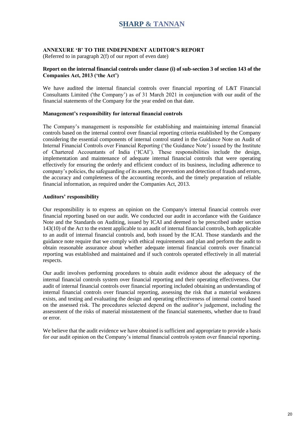# **ANNEXURE 'B' TO THE INDEPENDENT AUDITOR'S REPORT**

(Referred to in paragraph 2(f) of our report of even date)

#### **Report on the internal financial controls under clause (i) of sub-section 3 of section 143 of the Companies Act, 2013 ('the Act')**

We have audited the internal financial controls over financial reporting of L&T Financial Consultants Limited ('the Company') as of 31 March 2021 in conjunction with our audit of the financial statements of the Company for the year ended on that date.

#### **Management's responsibility for internal financial controls**

The Company's management is responsible for establishing and maintaining internal financial controls based on the internal control over financial reporting criteria established by the Company considering the essential components of internal control stated in the Guidance Note on Audit of Internal Financial Controls over Financial Reporting ('the Guidance Note') issued by the Institute of Chartered Accountants of India ('ICAI'). These responsibilities include the design, implementation and maintenance of adequate internal financial controls that were operating effectively for ensuring the orderly and efficient conduct of its business, including adherence to company's policies, the safeguarding of its assets, the prevention and detection of frauds and errors, the accuracy and completeness of the accounting records, and the timely preparation of reliable financial information, as required under the Companies Act, 2013.

# **Auditors' responsibility**

Our responsibility is to express an opinion on the Company's internal financial controls over financial reporting based on our audit. We conducted our audit in accordance with the Guidance Note and the Standards on Auditing, issued by ICAI and deemed to be prescribed under section 143(10) of the Act to the extent applicable to an audit of internal financial controls, both applicable to an audit of internal financial controls and, both issued by the ICAI. Those standards and the guidance note require that we comply with ethical requirements and plan and perform the audit to obtain reasonable assurance about whether adequate internal financial controls over financial reporting was established and maintained and if such controls operated effectively in all material respects.

Our audit involves performing procedures to obtain audit evidence about the adequacy of the internal financial controls system over financial reporting and their operating effectiveness. Our audit of internal financial controls over financial reporting included obtaining an understanding of internal financial controls over financial reporting, assessing the risk that a material weakness exists, and testing and evaluating the design and operating effectiveness of internal control based on the assessed risk. The procedures selected depend on the auditor's judgement, including the assessment of the risks of material misstatement of the financial statements, whether due to fraud or error.

We believe that the audit evidence we have obtained is sufficient and appropriate to provide a basis for our audit opinion on the Company's internal financial controls system over financial reporting.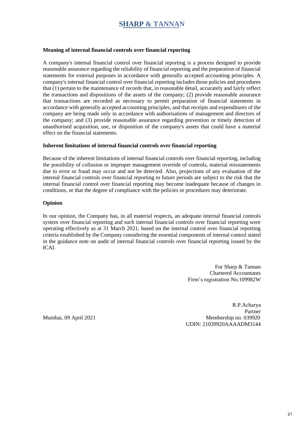#### **Meaning of internal financial controls over financial reporting**

A company's internal financial control over financial reporting is a process designed to provide reasonable assurance regarding the reliability of financial reporting and the preparation of financial statements for external purposes in accordance with generally accepted accounting principles. A company's internal financial control over financial reporting includes those policies and procedures that (1) pertain to the maintenance of records that, in reasonable detail, accurately and fairly reflect the transactions and dispositions of the assets of the company; (2) provide reasonable assurance that transactions are recorded as necessary to permit preparation of financial statements in accordance with generally accepted accounting principles, and that receipts and expenditures of the company are being made only in accordance with authorisations of management and directors of the company; and (3) provide reasonable assurance regarding prevention or timely detection of unauthorised acquisition, use, or disposition of the company's assets that could have a material effect on the financial statements.

#### **Inherent limitations of internal financial controls over financial reporting**

Because of the inherent limitations of internal financial controls over financial reporting, including the possibility of collusion or improper management override of controls, material misstatements due to error or fraud may occur and not be detected. Also, projections of any evaluation of the internal financial controls over financial reporting to future periods are subject to the risk that the internal financial control over financial reporting may become inadequate because of changes in conditions, or that the degree of compliance with the policies or procedures may deteriorate.

#### **Opinion**

In our opinion, the Company has, in all material respects, an adequate internal financial controls system over financial reporting and such internal financial controls over financial reporting were operating effectively as at 31 March 2021, based on the internal control over financial reporting criteria established by the Company considering the essential components of internal control stated in the guidance note on audit of internal financial controls over financial reporting issued by the ICAI.

> For Sharp & Tannan Chartered Accountants Firm's registration No.109982W

R.P.Acharya Partner Mumbai, 09 April 2021 Membership no. 039920 UDIN: 21039920AAAADM3144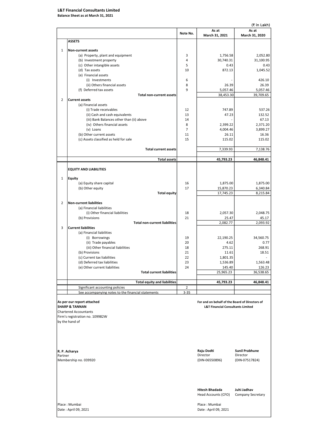Balance Sheet as at March 31, 2021

|                |                                                                                                                                              |                |                                                                                                | (₹ in Lakh)                                         |
|----------------|----------------------------------------------------------------------------------------------------------------------------------------------|----------------|------------------------------------------------------------------------------------------------|-----------------------------------------------------|
|                |                                                                                                                                              | Note No.       | As at<br>March 31, 2021                                                                        | As at<br>March 31, 2020                             |
|                | <b>ASSETS</b>                                                                                                                                |                |                                                                                                |                                                     |
| $\mathbf{1}$   | <b>Non-current assets</b>                                                                                                                    |                |                                                                                                |                                                     |
|                | (a) Property, plant and equipment<br>(b) Investment property                                                                                 | 3<br>4         | 1,756.58<br>30,740.31                                                                          | 2,052.80<br>31,100.95                               |
|                | (c) Other intangible assets                                                                                                                  | 5              | 0.43                                                                                           | 0.43                                                |
|                | (d) Tax assets                                                                                                                               | 10             | 872.13                                                                                         | 1,045.52                                            |
|                | (e) Financial assets                                                                                                                         |                |                                                                                                |                                                     |
|                | (i) Investments                                                                                                                              | 6              |                                                                                                | 426.10                                              |
|                | (ii) Others financial assets<br>(f) Deferred tax assets                                                                                      | 8<br>9         | 26.39<br>5,057.46                                                                              | 26.39<br>5,057.46                                   |
|                | <b>Total non-current assets</b>                                                                                                              |                | 38,453.30                                                                                      | 39,709.65                                           |
| $\overline{2}$ | <b>Current assets</b>                                                                                                                        |                |                                                                                                |                                                     |
|                | (a) Financial assets                                                                                                                         |                |                                                                                                |                                                     |
|                | (i) Trade receivables                                                                                                                        | 12             | 747.89                                                                                         | 537.26                                              |
|                | (ii) Cash and cash equivalents<br>(iii) Bank Balances other than (ii) above                                                                  | 13<br>14       | 47.23                                                                                          | 132.52<br>67.13                                     |
|                | (iv) Others financial assets                                                                                                                 | 8              | 2,399.22                                                                                       | 2,371.20                                            |
|                | (v) Loans                                                                                                                                    | $\overline{7}$ | 4,004.46                                                                                       | 3,899.27                                            |
|                | (b) Other current assets                                                                                                                     | 11             | 26.11                                                                                          | 16.36                                               |
|                | (c) Assets classified as held for sale                                                                                                       | 15             | 115.02                                                                                         | 115.02                                              |
|                | <b>Total current assets</b>                                                                                                                  |                | 7,339.93                                                                                       | 7,138.76                                            |
|                | <b>Total assets</b>                                                                                                                          |                | 45,793.23                                                                                      | 46,848.41                                           |
|                | <b>EQUITY AND LIABILITIES</b>                                                                                                                |                |                                                                                                |                                                     |
| $\mathbf{1}$   | <b>Equity</b>                                                                                                                                |                |                                                                                                |                                                     |
|                | (a) Equity share capital                                                                                                                     | 16             | 1,875.00                                                                                       | 1,875.00                                            |
|                | (b) Other equity                                                                                                                             | 17             | 15,870.23                                                                                      | 6,340.84                                            |
|                | <b>Total equity</b>                                                                                                                          |                | 17,745.23                                                                                      | 8,215.84                                            |
| $\overline{2}$ | <b>Non-current liabilities</b>                                                                                                               |                |                                                                                                |                                                     |
|                | (a) Financial liabilities                                                                                                                    |                |                                                                                                |                                                     |
|                | (i) Other financial liabilities                                                                                                              | 18             | 2,057.30                                                                                       | 2,048.75                                            |
|                | (b) Provisions                                                                                                                               | 21             | 25.47                                                                                          | 45.17                                               |
|                | <b>Total non-current liabilities</b>                                                                                                         |                | 2,082.77                                                                                       | 2,093.92                                            |
| 3              | <b>Current liabilities</b><br>(a) Financial liabilities                                                                                      |                |                                                                                                |                                                     |
|                | (i) Borrowings                                                                                                                               | 19             | 22,190.25                                                                                      | 34,560.75                                           |
|                | (ii) Trade payables                                                                                                                          | 20             | 4.62                                                                                           | 0.77                                                |
|                | (iii) Other financial liabilities                                                                                                            | 18             | 275.11                                                                                         | 268.91                                              |
|                | (b) Provisions                                                                                                                               | 21             | 11.61                                                                                          | 18.51                                               |
|                | (c) Current tax liabilities                                                                                                                  | 22             | 1,801.35                                                                                       | $\overline{a}$                                      |
|                | (d) Deferred tax liabilities<br>(e) Other current liabilities                                                                                | 23<br>24       | 1,536.89<br>145.40                                                                             | 1,563.48<br>126.23                                  |
|                | <b>Total current liabilities</b>                                                                                                             |                | 25,965.23                                                                                      | 36,538.65                                           |
|                |                                                                                                                                              |                |                                                                                                |                                                     |
|                | <b>Total equity and liabilities</b><br>Significant accounting policies                                                                       | 2              | 45,793.23                                                                                      | 46,848.41                                           |
|                | See accompanying notes to the financial statements                                                                                           | $3 - 35$       |                                                                                                |                                                     |
|                | As per our report attached<br><b>SHARP &amp; TANNAN</b><br><b>Chartered Accountants</b><br>Firm's registration no. 109982W<br>by the hand of |                | For and on behalf of the Board of Directors of<br><b>L&amp;T Financial Consultants Limited</b> |                                                     |
| Partner        | R. P. Acharya<br>Membership no. 039920                                                                                                       |                | Raju Dodti<br>Director<br>(DIN-06550896)                                                       | <b>Sunil Prabhune</b><br>Director<br>(DIN-07517824) |
|                |                                                                                                                                              |                | <b>Hitesh Bhadada</b><br>Head Accounts (CFO)                                                   | Juhi Jadhav<br><b>Company Secretary</b>             |
|                | Place: Mumbai                                                                                                                                |                | Place: Mumbai                                                                                  |                                                     |

Date : April 09, 2021 Date : April 09, 2021

22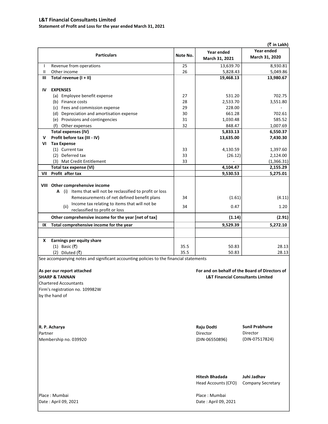|              |                                                                                                           |          |                                                | (₹ in Lakh)                  |
|--------------|-----------------------------------------------------------------------------------------------------------|----------|------------------------------------------------|------------------------------|
|              | <b>Particulars</b>                                                                                        | Note No. | Year ended<br>March 31, 2021                   | Year ended<br>March 31, 2020 |
| $\mathbf{I}$ | Revenue from operations                                                                                   | 25       | 13,639.70                                      | 8,930.81                     |
| $\mathbf{H}$ | Other income                                                                                              | 26       | 5,828.43                                       | 5,049.86                     |
| Ш            | Total revenue (I + II)                                                                                    |          | 19,468.13                                      | 13,980.67                    |
| IV           | <b>EXPENSES</b>                                                                                           |          |                                                |                              |
|              | (a) Employee benefit expense                                                                              | 27       | 531.20                                         | 702.75                       |
|              | (b) Finance costs                                                                                         | 28       | 2,533.70                                       | 3,551.80                     |
|              | (c) Fees and commission expense                                                                           | 29       | 228.00                                         |                              |
|              | (d) Depreciation and amortisation expense                                                                 | 30       | 661.28                                         | 702.61                       |
|              | (e) Provisions and contingencies                                                                          | 31       | 1,030.48                                       | 585.52                       |
|              | (f) Other expenses                                                                                        | 32       | 848.47                                         | 1,007.69                     |
|              | <b>Total expenses (IV)</b>                                                                                |          | 5,833.13                                       | 6,550.37                     |
| v            | Profit before tax (III - IV)                                                                              |          | 13,635.00                                      | 7,430.30                     |
| ٧I           | <b>Tax Expense</b>                                                                                        |          |                                                |                              |
|              | (1) Current tax                                                                                           | 33       | 4,130.59                                       | 1,397.60                     |
|              | (2) Deferred tax                                                                                          | 33       | (26.12)                                        | 2,124.00                     |
|              | (3) Mat Credit Entitlement                                                                                | 33       |                                                | (1,366.31)                   |
|              | <b>Total tax expense (VI)</b>                                                                             |          | 4,104.47                                       | 2,155.29                     |
| VII          | Profit after tax                                                                                          |          | 9,530.53                                       | 5,275.01                     |
|              | VIII Other comprehensive income<br>A (i) Items that will not be reclassified to profit or loss            |          |                                                |                              |
|              | Remeasurements of net defined benefit plans                                                               | 34       | (1.61)                                         |                              |
|              |                                                                                                           |          |                                                | (4.11)                       |
|              | Income tax relating to items that will not be<br>(ii)<br>reclassified to profit or loss                   | 34       | 0.47                                           | 1.20                         |
|              | Other comprehensive income for the year [net of tax]                                                      |          | (1.14)                                         | (2.91)                       |
| IX           | Total comprehensive income for the year                                                                   |          | 9,529.39                                       | 5,272.10                     |
|              |                                                                                                           |          |                                                |                              |
| x            | Earnings per equity share                                                                                 |          |                                                |                              |
|              | (1) Basic ( $\overline{\tau}$ )                                                                           | 35.5     | 50.83                                          | 28.13                        |
|              | (2) Diluted (₹)<br>See accompanying notes and significant accounting policies to the financial statements | 35.5     | 50.83                                          | 28.13                        |
|              |                                                                                                           |          |                                                |                              |
|              | As per our report attached                                                                                |          | For and on behalf of the Board of Directors of |                              |
|              | <b>SHARP &amp; TANNAN</b>                                                                                 |          | <b>L&amp;T Financial Consultants Limited</b>   |                              |

Chartered Accountants Firm's registration no. 109982W by the hand of

R. P. Acharya **Raju Dodti** Sunil Prabhune Partner Director Director

Membership no. 039920 (DIN-06550896) (DIN-07517824)

# Hitesh Bhadada Juhi Jadhav

Head Accounts (CFO) Company Secretary

Date : April 09, 2021 Date : April 09, 2021

Place : Mumbai Place : Mumbai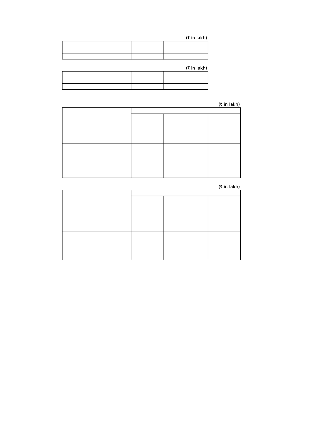Statement of changes in equity for the year ended March 31, 2021

a. Equity Share Capital

|                      |                          | (₹ in lakh)       |
|----------------------|--------------------------|-------------------|
| <b>Balance as at</b> | <b>Change during</b>     | <b>Balance at</b> |
| April 01, 2019       | the vear                 | March 31, 2020    |
| 1.875.00             | $\overline{\phantom{a}}$ | 1.875.00          |

|                      |                      | (₹ in lakh)       |
|----------------------|----------------------|-------------------|
| <b>Balance as at</b> | <b>Change during</b> | <b>Balance at</b> |
| April 01, 2020       | the year             | March 31, 2021    |
| 1,875.00             | -                    | 1,875.00          |

#### b. Other Equity

(₹ in lakh)

|                                            |                             | <b>Reserves and Surplus</b> |            |
|--------------------------------------------|-----------------------------|-----------------------------|------------|
| <b>Particulars</b>                         | Retained<br><b>Earnings</b> | <b>General Reserve</b>      | Total      |
| Balance at April 01, 2019                  | 1,486.56                    | 3,368.37                    | 4,854.93   |
| Total Comprehensive Income for<br>the year | 5,272.10                    |                             | 5,272.10   |
| Interim dividend (including DDT)           | (3,786.19)                  |                             | (3,786.19) |
| Balance at March 31, 2020                  | 2,972.47                    | 3,368.37                    | 6,340.84   |

 $(3\overline{5})$  in lakh)

|                                            |                                    | <b>Reserves and Surplus</b> |           |
|--------------------------------------------|------------------------------------|-----------------------------|-----------|
| <b>Particulars</b>                         | <b>Retained</b><br><b>Earnings</b> | <b>General Reserve</b>      | Total     |
| Balance at April 01, 2020                  | 2,972.47                           | 3,368.37                    | 6,340.84  |
| Total Comprehensive Income for<br>the year | 9,529.39                           |                             | 9,529.39  |
| Balance at March 31, 2021                  | 12,501.86                          | 3,368.37                    | 15,870.23 |

As per our report attached SHARP & TANNAN Chartered Accountants Firm's registration no. 109982W by the hand of

#### L&T Financial Consultants Limited For and on behalf of the Board of Directors of

R. P. Acharya **Raju Dodti** Raju Dodti Sunil Prabhune Partner Director Director Director Director Director Director Director Director Membership no. 039920 (DIN-06550896) (DIN-07517824)

Hitesh Bhadada Juhi Jadhav

Head Accounts(CFO) Company Secretary

Place : Mumbai **Place : Mumbai** 

Date : April 09, 2021 **Date : April 09, 2021**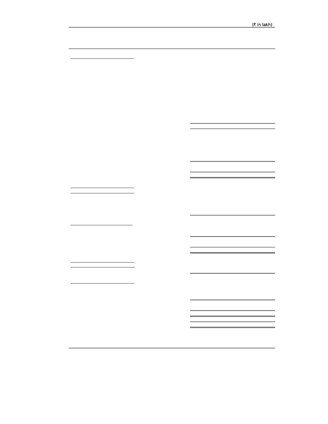Statements of Cash Flows for the year ended March 31, 2021

(₹ in lakh)

| <b>Particulars</b>                                                                                  | Year ended<br>March 31, 2021 | Year ended<br>March 31, 2020 |
|-----------------------------------------------------------------------------------------------------|------------------------------|------------------------------|
| A. Cash flow from operating activities                                                              |                              |                              |
| Profit before tax                                                                                   | 13,635.00                    | 7,430.30                     |
| <b>Adjustment for:</b>                                                                              |                              |                              |
| Provision for employee benefits                                                                     | 21.00                        | 8.30                         |
| Depreciation and amortisation expense                                                               | 661.28                       | 702.61                       |
| Profit on sale of fixed assets                                                                      | (2.84)                       | (388.01)                     |
| Lease rental income on amortisation of security deposit                                             |                              | (13.55)                      |
| Interest/Dividend income on ICD and FD                                                              | (606.59)                     | (587.39)                     |
| Write back of liability no longer payable                                                           | (65.12)                      |                              |
| Interest expenses                                                                                   | 2,533.70                     | 3,551.80                     |
| Provisions and Contingencies                                                                        | 1,030.48                     | 585.52                       |
| Operating profit before working capital changes                                                     | 17,206.91                    | 11,289.57                    |
| Changes in working capital<br>(Increase)/ decrease in other financial assets                        |                              |                              |
|                                                                                                     |                              | (0.94)                       |
| (Increase)/ decrease in trade receivables<br>(Increase)/ decrease in current and non current assets | (210.63)                     | (431.01)<br>17.90            |
| Increase/ (decrease) in current and non                                                             | (9.75)                       |                              |
| current liabilities and provisions                                                                  | 22.60                        | (1,229.06)                   |
| Cash generated from operations                                                                      | 17,009.13                    | 9,646.46                     |
| Direct taxes paid                                                                                   | (2, 155.85)                  | (1,252.32)                   |
| Net cash generated from operating activities (A)                                                    | 14,853.28                    | 8,394.14                     |
|                                                                                                     |                              |                              |
| <b>B. Cash flows from investing activities</b>                                                      |                              |                              |
| <b>Add: Inflows from investing activities</b><br>Sale of current investments (net)                  | 67.13                        |                              |
| Inter corporate deposits recovered                                                                  | 6,467.40                     | 547.44                       |
| Interest received from investing activities                                                         | 607.80                       |                              |
| Sale of fixed assets                                                                                | 11.00                        | 1,972.48                     |
|                                                                                                     | 7,153.33                     | 2,519.92                     |
| Less: Outflow for investing activities                                                              |                              |                              |
| Inter corporate Deposit given                                                                       | 7,180.41                     | 34.00                        |
| Purchase of fixed assets                                                                            | 11.16                        | 4.82                         |
|                                                                                                     | 7,191.57                     | 38.82                        |
|                                                                                                     |                              |                              |
| Net cash (used in)/generated from investing activities (B)                                          | (38.24)                      | 2,481.10                     |
| C. Cash flows from financing activities                                                             |                              |                              |
| <b>Add: Inflows from financing activities</b>                                                       |                              |                              |
| Proceeds from inter corporate borrowing                                                             | 2,21,243.63                  | 99,624.52                    |
|                                                                                                     | 2,21,243.63                  | 99,624.52                    |
| <b>Less: Outflows for financing activities</b>                                                      |                              |                              |
| Dividend paid (including dividend distribution tax)                                                 |                              | 3,786.19                     |
| Interest and ancillary borrowing cost paid                                                          | 2,472.51                     | 5,349.84                     |
| Repayment of inter corporate borrowing                                                              | 2,33,671.47<br>2,36,143.98   | 1,01,463.20<br>1,10,599.23   |
|                                                                                                     |                              |                              |
| Net cash used in financing activities (C)                                                           | (14,900.35)                  | (10,974.71)                  |
| Net decrease in cash and cash equivalents (A+B+C)                                                   | (85.29)                      | (99.48)                      |
| Cash and cash equivalents as at beginning of the year                                               | 132.52                       | 232.00                       |
|                                                                                                     |                              |                              |
| Cash and cash equivalents as at end of the year                                                     | 47.23                        | 132.52                       |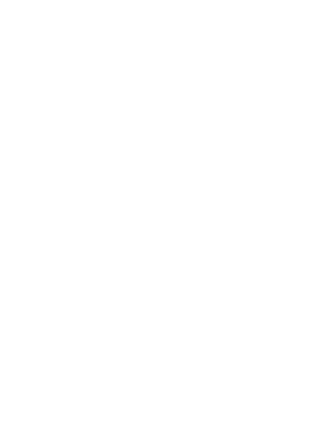Statements of Cash Flows for the year ended March 31, 2021

#### Notes:

- (IND AS) 7 "Statement of Cash Flows". 1. Statement of Cash Flows has been prepared as per Indirect Method as set out in the Indian Accounting Standard
- 2. Cash and cash equivalents represent cash and bank balances.
- 3. Purchase of fixed assets includes movements of capital work in progress during the period.
- 4. Previous year figures have been regrouped/reclassified wherever applicable

As per our report attached SHARP & TANNAN Chartered Accountants Firm's registration no. 109982W by the hand of

L&T Financial Consultants Limited For and on behalf of the Board of Directors of

R. P. Acharya **Raju Dodti** Sunil Prabhune Partner Director Director Director Director Director Director Director Director Membership no. 039920 (DIN-06550896) (DIN-07517824)

Hitesh Bhadada Juhi Jadhav

Head Accounts(CFO) Company Secretary

Place : Mumbai **Place** : Mumbai Date : April 09, 2021 Date : April 09, 2021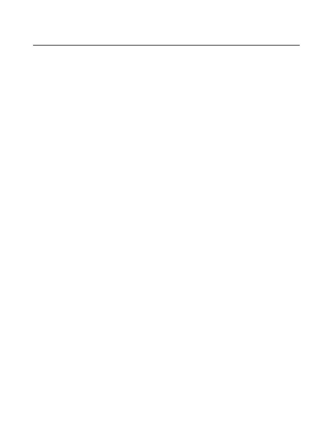Notes forming part of the financial statements for the year ended March 31, 2021

# 1. Background

L&T Financial Consultants Limited ('the Company') is a company limited by shares incorporated in India. As on 31 March 2021, L&T Finance Holdings Limited, the holding Company along with its nominees hold 100% of its share capital.

# 2. Significant Accounting Policies:

# a. Statement of compliance:

These financial statements have been prepared in accordance with the Indian Accounting Standards (Ind AS) as per the Companies (Indian accounting Standards) Rules, 2015 notified under section 133 of the Companies Act, 2013, (the 'Act') and other relevant provisions of the Act, as amended from time to time.

#### b. Basis of accounting:

The financial statements have been prepared on the historical cost basis except for certain financial instruments that are measured at fair values at the end of each reporting period.

Fair value measurements under Ind AS are categorised into Level 1, 2, or 3 based on the degree to which the inputs to the fair value measurements are observable and the significance of the inputs to the fair value measurement in its entirety, which are described as follows:

- Level 1 inputs are quoted prices (unadjusted) in active markets for identical assets or liabilities that the Company's can access at measurement date
- Level 2 inputs are inputs, other than quoted prices included within level 1, that are observable for the asset or liability, either directly or indirectly; and
- Level 3 inputs are unobservable inputs for the valuation of assets or liabilities

#### c. Presentation of financial statements:

The Balance Sheet and the Statement of Profit and Loss are prepared and presented in the format prescribed in the Division II of Schedule III to the Companies Act, 2013 ("the Act"). The Statement of Cash Flows has been prepared and presented as per the requirements of Ind AS 7 "Statement of Cash Flows". The disclosure requirements with respect to items in the balance sheet and statement of profit and loss, as prescribed in the Division II of Schedule III to the Act, are presented by way of notes forming part of the financial statements along with the other notes required to be disclosed under the notified Accounting Standards.

Amounts in the financial statements are presented in Indian Rupees in lakhs rounded off to two decimal places as permitted by Schedule III to the Companies Act, 2013. Per share data are presented in Indian Rupee to two decimal places.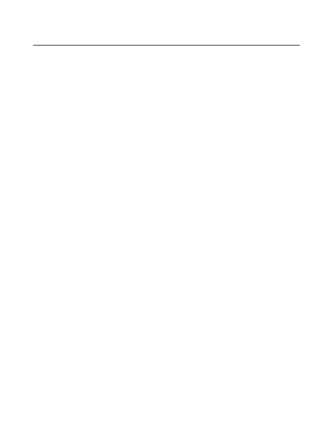Notes forming part of the financial statements for the year ended March 31, 2021

#### d. Operating cycle for current and non-current classification:

 In the absence of the entity's normal operating cycle being clearly identifiable, its duration is assumed to be 12 months.

#### e. Revenue recognition:

Revenue is recognised to the extent that it is probable that the economic benefits will flow to the Company's and the revenue can be reliably measured and there exists reasonable certainty of its recovery. Revenue is measured at the fair value of the consideration received or receivable as reduced for estimated customer credits and other similar allowances.

#### Rent and Other charges income:

Rent and other charges income is recognised on a straight-line basis over the lease term..

#### Consultancy fees and financial advisory fee:

Consultancy fees and financial advisory fees are recognized when services are rendered, and related costs are incurred.

#### Dividend income:

Dividend income is recognised when the right to receive payment is established.

### Interest income:

Interest income is recognised on a time proportion basis taking into account the amount outstanding and the interest rate applicable.

#### Other operational revenue:

Other operational revenue represents income earned from the activities incidental to the business and is recognised when the right to receive the income is established as per the terms of the contract.

# f. Property, plant and equipment (PPE):

PPE is recognised when it is probable that future economic benefits associated with the item will flow to the Company and the cost of the item can be measured reliably. PPE is stated at original cost net of tax/duty credits availed, if any, less accumulated depreciation. Cost includes all direct cost related to the acquisition of PPE and, for qualifying assets, borrowing costs capitalised in accordance with the Company's accounting policy.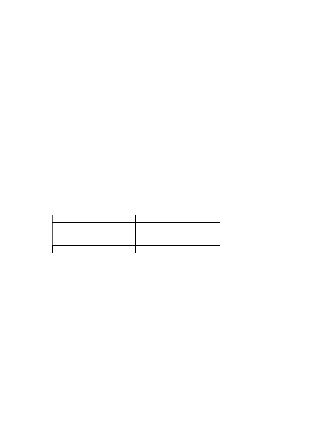Notes forming part of the financial statements for the year ended March 31, 2021

Depreciation is recognised using straight line method so as to write off the cost of the assets (other than freehold land) less their residual values over their useful lives specified in Schedule II to the Companies Act, 2013, or in case of assets where the useful life was determined by technical evaluation, over the useful life so determined. Depreciation method is reviewed at each financial year end to reflect expected pattern of consumption of the future economic benefits embodied in the asset. The estimated useful life and residual values are also reviewed at each financial year end with the effect of any change in the estimates of useful life/residual value is accounted on prospective basis.

Property, plant and equipment costing up to Rs.5,000 individually are depreciated fully in the year of purchase.

Where cost of a part of the asset ("asset component") is significant to total cost of the asset and useful life of that part is different from the useful life of the remaining asset, useful life of that significant part is determined separately and such asset component is depreciated over its separate useful life.

Depreciation for additions to/deductions from, owned assets is calculated pro rata to the period of use. Depreciation charge for impaired assets is adjusted in future periods in such a manner that the revised carrying amount of the asset is allocated over its remaining useful life.

| Category                      | <b>Useful life</b> |  |
|-------------------------------|--------------------|--|
| Office Equipment              | 5 Years            |  |
| Computers                     | 3 Years            |  |
| <b>Furniture and Fixtures</b> | 10 Years           |  |
| Electrical & Installation     | 10 Years           |  |

Estimated useful lives of items of property, plant and equipment are as follows:

An item of property, plant and equipment is derecognised upon disposal or when no future economic benefits are expected to arise from the continued use of the asset. Any gain or loss arising on the disposal or retirement of an item of property, plant and equipment is recognised in profit or loss.

# g. Intangible assets:

Intangible assets are recognised when it is probable that the future economic benefits that are attributable to the asset will flow to the enterprise and the cost of the asset can be measured reliably. Intangible assets are stated at original cost net of tax/duty credits availed, if any, less accumulated amortisation and cumulative impairment. Direct expenses and administrative and other general overhead expenses that are specifically attributable to acquisition of intangible assets are allocated and capitalised as a part of the cost of the intangible assets.

Intangible assets are amortised on straight line basis over the estimated useful life. The method of amortisation and useful life are reviewed at the end of each accounting year with the effect of any changes in the estimate being accounted for on a prospective basis.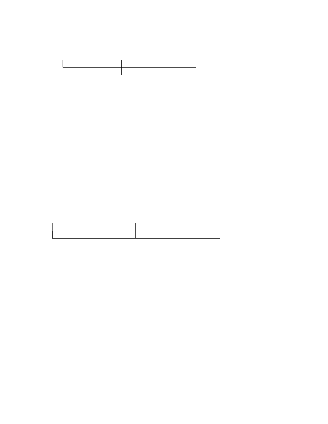Notes forming part of the financial statements for the year ended March 31, 2021

| Category | <b>Useful life</b> |
|----------|--------------------|
| Software | vears              |

An intangible asset is derecognised on disposal, or when no future economic benefits are expected from use or disposal. Gains or losses arising from derecognition of an intangible asset are recognised in profit or loss when the asset is derecognised.

# h. Investment Property:

Property that is held for long term rental yields or for capital appreciation or both, and that is not occupied by the company, is classified as investment property. Investment property is measured initially at cost, including related transaction costs and where applicable borrowing costs. Subsequent expenditure is capitalized to the asset's carrying amount only when it is probable that future economic benefits associated with the expenditure will flow to the group and the cost of the item can be measured reliably. All other repairs and maintenance costs are expensed when incurred. When part of investment property is replaced, the carrying amount of the replaced part is derecognized. Investment properties are depreciated using the straight line method over their estimated useful lives.

Estimated useful lives of items of Investment Property is as follows:

| Category                   | <b>Useful life</b> |
|----------------------------|--------------------|
| <b>Investment Property</b> | 60 Years           |

# i. Impairment of non-financial assets:

As at the end of each financial year, the Company reviews the carrying amounts of its PPE, investment property and intangible assets to determine whether there is any indication that those assets have suffered an impairment loss. If such indication exists, the PPE, investment property and intangible assets are tested for impairment so as to determine the impairment loss, if any.

Impairment loss is recognised when the carrying amount of an asset exceeds its recoverable amount, which is the higher of the asset's net selling price or its value in use.

# j. Financial instruments:

Financial assets and financial liabilities are recognised in the Company's balance sheet when the Company becomes a party to the contractual provisions of the instrument.

Recognised financial assets and financial liabilities are initially measured at fair value. Transaction costs that are directly attributable to the acquisition or issue of financial assets and financial liabilities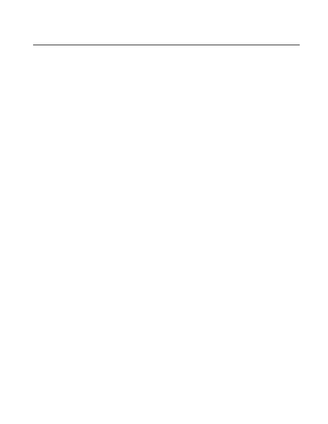#### Notes forming part of the financial statements for the year ended March 31, 2021

(other than financial assets and financial liabilities at FVTPL) are added to or deducted from the fair value of the financial assets or financial liabilities, as appropriate, on initial recognition. Transaction costs directly attributable to the acquisition of financial assets or financial liabilities at FVTPL are recognised immediately in profit or loss.

If the transaction price differs from fair value at initial recognition, the Company will account for such difference as follows:

• If fair value is evidenced by a quoted price in an active market for an identical asset or liability or based on a valuation technique that uses only data from observable markets, then the difference is recognised in profit or loss on initial recognition (i.e. day 1 profit or loss);

• In all other cases, the fair value will be adjusted to bring it in line with the transaction price (i.e. day 1 profit or loss will be deferred by including it in the initial

carrying amount of the asset or liability).

After initial recognition, the deferred gain or loss will be released to profit or loss on a rational basis, only to the extent that it arises from a change in a factor

(including time) that market participants would take into account when pricing the asset or liability.

# Financial assets:

All financial assets are recognised and derecognised on a trade date where the purchase or sale of a financial asset is under a contract whose terms require delivery of the financial asset within the timeframe established by the market concerned, and are initially measured at fair value, plus transaction costs, except for those financial assets classified as at FVTPL. Transaction costs directly attributable to the acquisition of financial assets classified as at FVTPL are recognised immediately in profit or loss.

All recognised financial assets that are within the scope of Ind AS 109 are required to be subsequently measured at amortised cost or fair value on the basis of the entity's business model for managing the financial assets and the contractual cash flow characteristics of the financial assets.

Financial liabilities and equity :

A financial liability is a contractual obligation to deliver cash or another financial asset or to exchange financial assets or financial liabilities with another entity under conditions that are potentially unfavourable to the Company or a contract that will or may be settled in the Company's own equity instruments and is a non-derivative contract for which the Company is or may be obliged to deliver a variable number of its own equity instruments, or a derivative contract over own equity that will or may be settled other than by the exchange of a fixed amount of cash (or another financial asset) for a fixed number of the Company's

own equity instruments.

Trade and other payables represent liabilities for goods and services provided to the Company prior to the end of financial year which are unpaid. Trade and

other payables are initially recognised at fair value, and subsequently carried at amortised cost.

An equity instrument is any contract that evidences a residual interest in the assets of an entity after deducting all of its liabilities. Equity instruments issued by the Company are recognised at the proceeds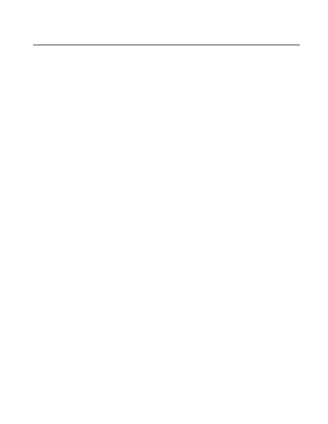#### Notes forming part of the financial statements for the year ended March 31, 2021

received, net of direct issue costs.

#### k. Cash and bank balances:

Cash and bank balances include balance with scheduled bank in current account.

#### l. Borrowing Costs:

Borrowing costs include interest expense calculated using the effective interest method.

Borrowing costs net of any investment income from the temporary investment of related borrowings, that are attributable to the acquisition, construction or production of a qualifying asset are capitalised/inventoried as part of cost of such asset till such time the asset is ready for its intended use or sale. A qualifying asset is an asset that necessarily requires a substantial period of time to get ready for its intended use or sale. All other borrowing costs are recognised in profit or loss in the period in which they are incurred.

# m. Taxation:

#### Current Tax

Tax on income for the current period is determined on the basis of taxable income (or on the basis of book profits wherever minimum alternate tax is applicable) and tax credits computed in accordance with the provisions of the Income Tax Act 1961, and based on the expected outcome of assessments/appeals.

# Deferred Tax

Deferred tax is recognised on temporary differences between the carrying amounts of assets and liabilities in the Company's financial statements and the corresponding tax bases used in computation of taxable profit and quantified using the tax rates and laws enacted or substantively enacted as on the Balance Sheet date.

Deferred tax liabilities are generally recognised for all taxable temporary differences except where the Company is able to control the reversal of the temporary difference and it is probable that the temporary difference will not reverse in the foreseeable future.

Deferred tax assets are generally recognised for all taxable temporary differences to the extent that is probable that taxable profits will be available against which those deductible temporary differences can be utilised. The carrying amount of deferred tax assets is reviewed at the end of each reporting period and reduced to the extent that it is no longer probable that sufficient taxable profits will be available to allow all or part of the asset to be recovered.

Deferred tax assets relating to unabsorbed depreciation/business losses/losses under the head "capital gains" are recognised and carried forward to the extent of available taxable temporary differences or where there is convincing other evidence that sufficient future taxable income will be available against which such deferred tax assets can be realised. Deferred tax assets in respect of unutilised tax credits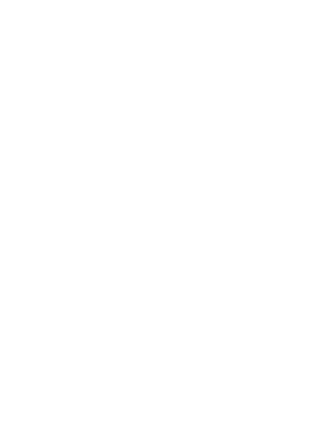#### Notes forming part of the financial statements for the year ended March 31, 2021

which mainly relate to minimum alternate tax are recognised to the extent it is probable of such unutilised tax credits will get realised.

The measurement of deferred tax liabilities and assets reflects the tax consequences that would follow from the manner in which the Company expects, at the end of reporting period, to recover or settle the carrying amount of its assets and liabilities.

Transaction or event which is recognised outside profit or loss, either in other comprehensive income or in equity, is recorded along with the tax as applicable.

# n. Provisions, contingent liabilities and contingent assets:

Provisions are recognised only when:

- (i) an entity has a present obligation (legal or constructive) as a result of a past event; and
- (ii) it is probable that an outflow of resources embodying economic benefits will be required to settle the obligation; and
- (iii) a reliable estimate can be made of the amount of the obligation

Provision is measured using the cash flows estimated to settle the present obligation and when the effect of time value of money is material, the carrying amount of the provision is the present value of those cash flows. Reimbursement expected in respect of expenditure required to settle a provision is recognised only when it is virtually certain that the reimbursement will be received.

Contingent liability is disclosed in case of:

- 1. a present obligation arising from past events, when it is not probable that an outflow of resources will be required to settle the obligation; and
- 2. a present obligation arising from past events, when no reliable estimate is possible.

 Contingent assets are disclosed where an inflow of economic benefits is probable. Provisions, contingent liabilities and contingent assets are reviewed at each Balance Sheet date.

Where the unavoidable costs of meeting the obligation under the contract exceed the economic benefits expected to be received under such contract, the present obligation under the contract is recognised and measured as a provision.

# o. Statement of cash flows:

Statement of cash flows is prepared segregating the cash flows into operating, investing and financing activities. cash flow from operating activities is reported using indirect method adjusting the net profit for the effects of:

- changes during the period in inventories and operating receivables and payables transactions of a non-cash nature;
- non-cash items such as depreciation and provisions;
- $\bullet$ all other items for which the cash effects are investing or financing cash flows.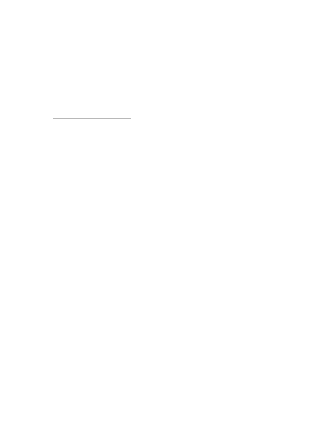Notes forming part of the financial statements for the year ended March 31, 2021

#### p. Earnings per share:

Basic and diluted earnings per share is calculated by dividing the net profit or loss for the year attributable to equity shareholders by the weighted average number of equity shares outstanding during the year.

#### q. Employee benefits:

(i) Short term employee benefits:

Employee benefits falling due wholly within twelve months of rendering the service are classified as short term employee benefits and are expensed in the period in which the employee renders the related service. Liabilities recognised in respect of short-term employee benefits are measured at the undiscounted amount of the benefits expected to be paid in exchange for the related service.

- (ii) Post-employment benefits:
- (a) Defined contribution plans: The Company's superannuation scheme, state governed provident fund scheme, employee state insurance scheme and employee pension scheme are defined contribution plans. The contribution paid/payable under the schemes is recognised during the period in which the employee renders the related service. .
- (b) Defined benefit plans: The employees' gratuity fund schemes and employee provident fund schemes managed by board of trustees established by the company, the post-retirement medical care plan and the Parent Company pension plan represent defined benefit plans. The present value of the obligation under defined benefit plans is determined based on actuarial valuation using the Projected Unit Credit Method.

The obligation is measured at the present value of the estimated future cash flows using a discount rate based on the market yield on government securities of a maturity period equivalent to the weighted average maturity profile of the defined benefit obligations at the Balance Sheet date.

Remeasurement comprising actuarial gains and losses, the return on plan assets (excluding amounts included in net interest on the net defined benefit liability or asset) and any change in the effect of asset ceiling (if applicable) is recognised in other comprehensive income and is reflected in retained earnings and the same is not eligible to be reclassified to profit or loss.

Defined benefit costs comprising current service cost, past service cost and gains or losses on settlements are recognised in the Statement of Profit and Loss as employee benefit expenses. Interest cost implicit in defined benefit employee cost is recognised in the Statement of Profit and Loss under finance cost. Gains or losses on settlement of any defined benefit plan are recognised when the settlement occurs. Past service cost is recognised as expense at the earlier of the plan amendment or curtailment and when the Company recognises related restructuring costs or termination benefits.

In case of funded plans, the fair value of the plan assets is reduced from the gross obligation under the defined benefit plans to recognise the obligation on a net basis.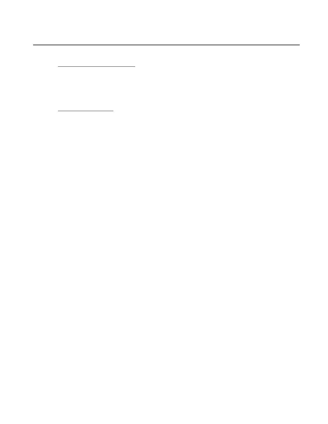Notes forming part of the financial statements for the year ended March 31, 2021

# (iii) Long term employee benefits:

The obligation recognised in respect of long-term benefits such as long term compensated absences is measured at present value of estimated future cash flows expected to be made by the Company and is recognised in a similar manner as in the case of defined benefit plans vide (ii) (b) above.

# (iv) Termination benefits:

Termination benefits such as compensation under employee separation schemes are recognised as expense when the company's offer of the termination benefit is accepted or when the Company recognises the related restructuring costs whichever is earlier.

# r. Accounting and reporting of information for Operating Segments:

Operating segments are those components of the business whose operating results are regularly reviewed by the chief operating decision making body in the Company to make decisions for performance assessment and resource allocation. The reporting of segment information is the same as provided to the management for the purpose of the performance assessment and resource allocation to the segments. Segment accounting policies are in line with the accounting policies of the Company.

# s. Dividend on equity shares:

The Company recognises a liability to make cash distributions to equity shareholders when the distribution is authorised and the distribution is no longer at the discretion of the Company. As per the corporate laws in India, a distribution is authorised when it is approved by the shareholders except in case of interim dividend. A corresponding amount is recognised directly in other equity.

# t. Critical Estimates and judgements:

The preparation of the financial statements in conformity with Ind AS requires that the management to make estimates and assumptions considered in the reported amounts of assets and liabilities (including contingent liabilities) and the reported income and expenses during the year. The estimates and underlying assumptions are reviewed on an ongoing basis. The Management believes that the estimates used in preparation of the financial statements are prudent and reasonable. Future results could differ due to these estimates and the differences between the actual results and the estimates are recognised in the periods in which the results are known / materialise.

The areas involving critical estimates or judgements are:

Recognition of deferred tax assets for carried forward tax losses: - The recognition of deferred tax assets is based upon whether it is more likely than not that sufficient and suitable taxable profits will be available in the future against which the reversal of temporary differences can be deducted. To determine the future taxable profits, reference is made to the latest available profit forecasts. Where the temporary differences are related to losses, relevant tax law is considered to determine the availability of the losses to offset against the future taxable profits.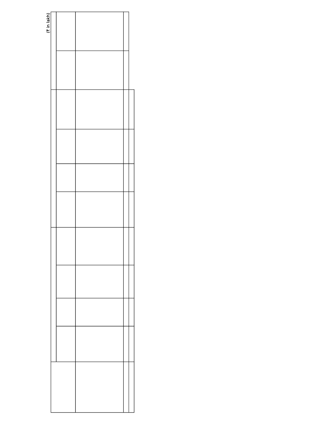L&T Financial Consultants Limited<br>Notes forming part of financial statements L&T Financial Consultants Limited

Notes forming part of financial statements

Note 3 : Property Plant and Equipment Note 3 : Property Plant and Equipment

| Note 3 : Property Plant and Equipment |                                |                  |                    |                                    |                         |              |                   |                                |                         | $(3 \text{ in } \text{lakh})$ |
|---------------------------------------|--------------------------------|------------------|--------------------|------------------------------------|-------------------------|--------------|-------------------|--------------------------------|-------------------------|-------------------------------|
|                                       |                                |                  | <b>Gross Block</b> |                                    |                         |              | Depreciation      |                                | Net Block               |                               |
| Particulars                           | April 01, 2020<br><b>As at</b> | <b>Additions</b> | <b>Deductions</b>  | h 31, 2021<br><b>As at</b><br>Mard | April 01, 2020<br>As at | For the year | <b>Deductions</b> | March 31, 2021<br><b>As at</b> | March 31, 2021<br>As at | March 31, 2020<br>As at       |
| Office equipments                     | 383.06                         | 39.57            |                    | 422.63                             | 289.40                  | 72.43        |                   | 361.83                         | 60.80                   | 93.66                         |
| Furniture and Fixtures                | 506.77                         | 61.55            |                    | 568.32                             | 196.50                  | 54.48        |                   | 250.98                         | 317.34                  | 310.27                        |
| Computers                             | 20.44                          |                  |                    | 20.44                              | 7.44                    | 5.14         |                   | 12.58                          | 7.86                    | 13.00                         |
| Electrical & Installation             | 2,707.34                       |                  | 15.78              | 2,691.56                           | 1,071.47                | 257.13       | 7.62              | 1,320.98                       | 1,370.58                | 1,635.87                      |
| Total                                 | 3,617.61                       | 101.12           | 15.78              | 3,702.95                           | 1,564.81                | 389.18       | 7.62              | 1,946.37                       | 1,756.58                | 2,052.80                      |
| <b>Previous Year</b>                  | 3,845.11                       | 35.66            | 263.16             | 3,617.61                           | 1,385.73                | 412.33       | 233.25            | 1,564.81                       |                         |                               |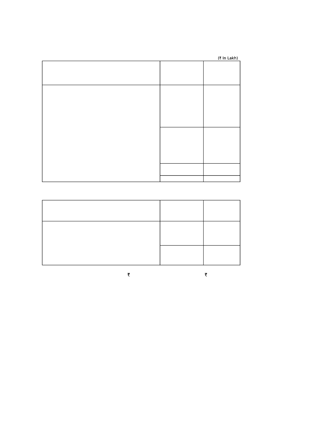#### Notes forming part of financial statements

| Note 4: Investment properties                  |                         | (₹ In Lakh)             |
|------------------------------------------------|-------------------------|-------------------------|
| <b>Particulars</b>                             | As at<br>March 31, 2021 | As at<br>March 31, 2020 |
| <b>Gross carrying amount</b>                   |                         |                         |
| Opening gross carrying amount/ deemed cost     | 32,073.54               | 33,863.73               |
| Add: Additions                                 |                         | 34.36                   |
| Less: Sale during the year                     |                         | (1,759.36)              |
| Less: Deletions                                | (88.54)                 | (65.19)                 |
| Closing gross carrying amount                  | 31,985.00               | 32,073.54               |
| <b>Accumulated depreciation and impairment</b> |                         |                         |
| Opening accumulated depreciation               | 972.59                  | 872.80                  |
| Add: Depreciation and impairment               | 272.10                  | 290.27                  |
| Less: Deduction due to sale                    |                         | (190.48)                |
| Closing accumulated depreciation               | 1,244.69                | 972.59                  |
| <b>Net Carrying Amount</b>                     | 30,740.31               | 31,100.95               |

# (i) Amount recognised in profit or loss for investment properties

| <b>Particulars</b>                                        | As at<br>March 31, 2021 | As at<br>March 31, 2020 |
|-----------------------------------------------------------|-------------------------|-------------------------|
| Rental income                                             | 4,134.22                | 4,263.24                |
| Other charges recovery                                    | 1,026.10                | 1,732.82                |
| Less: Direct expenses from property that generated rental |                         |                         |
| lincome                                                   | 3,524.56                | 5,198.35                |
| Profit from investment properties before depreciation     | 1,635.76                | 797.71                  |
| Less: Depreciation and impairment                         | 272.10                  | 290.27                  |
| <b>Profit from investment properties</b>                  | 1,363.66                | 507.44                  |

(ii) The fair values of investment properties  $\bar{\tau}$  32,144.80 lakhs as at March 31, 2021 ( $\bar{\tau}$  38,625 lakhs as at March 31, 2020).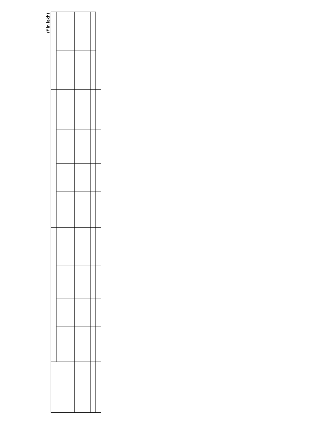# L&T Financial Consultants Limited<br>Notes forming part of financial statements L&T Financial Consultants Limited Notes forming part of financial statements

| Note 5: Other Intangible Assets |                         |                  |                    |                               |                         |              |                   |                         |                        | $(7 \text{ in } \text{lakh})$ |
|---------------------------------|-------------------------|------------------|--------------------|-------------------------------|-------------------------|--------------|-------------------|-------------------------|------------------------|-------------------------------|
|                                 |                         |                  | <b>Gross Block</b> |                               |                         |              | Amortisation      |                         | <b>Net Block</b>       |                               |
| Particulars                     | April 01, 2020<br>As at | <b>Additions</b> | Deductions         | March 31, 2021<br><b>Asat</b> | April 01, 2020<br>As at | For the Year | <b>Deductions</b> | March 31, 2021<br>As at | March 31, 2021<br>Asat | March 31, 2020<br>As at       |
| Computer Software               | 8.55                    |                  |                    | 8.55                          | 8.12                    |              |                   | 8.12                    | 0.43                   | 0.43                          |
| Total                           | 8.55                    |                  |                    | 8.55                          | 8.12                    |              |                   | 8.12                    | 0.43                   | 0.43                          |
| Previous Year                   | 8.55                    |                  |                    | 8.55                          | 8.12                    |              |                   | 8.12                    |                        |                               |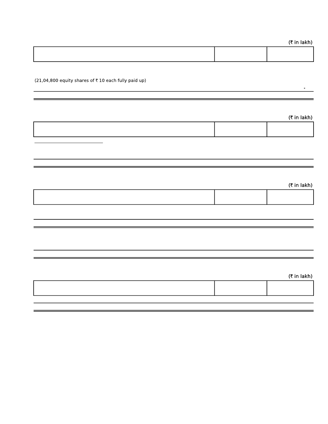# L&T Financial Consultants Limited Notes forming part of financial statements

| Note 6: Investments                                          |                | (₹ in lakh)             |
|--------------------------------------------------------------|----------------|-------------------------|
| Particulars                                                  | As at          | As at                   |
|                                                              | March 31, 2021 | March 31, 2020          |
| <b>Investment in Subsidiary Companies</b>                    |                |                         |
| Mudit Cements Private Limited                                | 426.10         | 426.10                  |
| (21,04,800 equity shares of ₹10 each fully paid up)          |                |                         |
| Less: Impairment Loss Allowance                              | (426.10)       |                         |
| <b>Total</b>                                                 |                | 426.10                  |
| Note 7: Loans                                                |                | $($ ₹ in lakh)          |
| <b>Particulars</b>                                           | As at          | As at                   |
|                                                              | March 31, 2021 | March 31, 2020          |
| <b>Unsecured Loans and Advances</b>                          |                |                         |
| Loans and Advances to a related party                        | 7,353.71       | 6,644.55                |
| Less: Impairment Loss Allowance                              | (3,349.25)     | (2,745.28)              |
| <b>Total</b>                                                 | 4,004.46       | 3,899.27                |
| <b>Note 8: Other Financials Assets</b><br><b>Particulars</b> | As at          | $($ ₹ in lakh)<br>As at |
|                                                              | March 31, 2021 | March 31, 2020          |
| <b>Non Current:</b>                                          |                |                         |
| Deposit given                                                | 26.39          | 26.39                   |
| <b>Total</b>                                                 | 26.39          | 26.39                   |
| <b>Current</b>                                               |                |                         |
| <b>Other Receivables - Related Parties</b>                   | 45.20          | 17.18                   |
| <b>Other Advances</b>                                        | 2,354.02       | 2,354.02                |
| <b>Total</b>                                                 | 2,399.22       | 2,371.20                |
|                                                              |                |                         |
| <b>Note 9: Deferred Tax</b>                                  |                | $($ ₹ in lakh)          |
| Particulars                                                  | As at          | As at                   |
|                                                              | March 31, 2021 | March 31, 2020          |
| <b>MAT Credit Receivable</b>                                 | 5,057.46       | 5,057.46                |
| <b>Total</b>                                                 | 5,057.46       | 5,057.46                |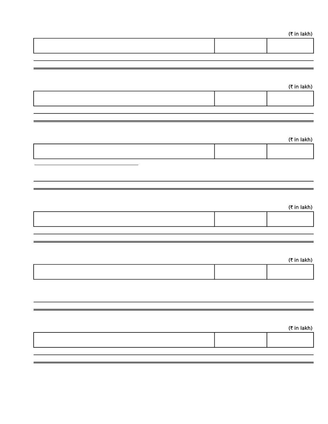# L&T Financial Consultants Limited Notes forming part of financial statements

| <b>Note 10: Tax Assets</b>           |                       | (₹ in lakh)           |
|--------------------------------------|-----------------------|-----------------------|
| <b>Particulars</b>                   | As at                 | As at                 |
|                                      | <b>March 31, 2021</b> | <b>March 31, 2020</b> |
| Income Tax Balance Net of Provisions | 872.13                | 1,045.52              |
| <b>Total</b>                         | 872.13                | 1,045.52              |

| <b>Note 11: Other Current Assets</b> |                                | $($ ₹ in lakh)                 |
|--------------------------------------|--------------------------------|--------------------------------|
| <b>Particulars</b>                   | As at<br><b>March 31, 2021</b> | As at<br><b>March 31, 2020</b> |
| Current Assets - Others              | 26.11                          | 16.36                          |
| <b>Total</b>                         | 26.11                          | 16.36                          |

| Note 12 : Receivables                         |                         | (₹ in lakh)                    |
|-----------------------------------------------|-------------------------|--------------------------------|
| Particulars                                   | As at<br>March 31, 2021 | As at<br><b>March 31, 2020</b> |
| Trade Receivables - Unsecured considered good |                         |                                |
| Receivables from Related Parties              | 0.89                    | 4.68                           |
| <b>Receivables from Others</b>                | 747.00                  | 532.58                         |
| <b>Total</b>                                  | 747.89                  | 537.26                         |

| Note 13: Cash and cash equivalents                |                       | (₹ in lakh)           |
|---------------------------------------------------|-----------------------|-----------------------|
| <b>Particulars</b>                                | As at                 | As at                 |
|                                                   | <b>March 31, 2021</b> | <b>March 31, 2020</b> |
| Balances with scheduled banks in Current Accounts | 47.23                 | 132.52                |
| <b>Total</b>                                      | 47.23                 | 132.52                |

| Note 14: Balances with banks other than cash and cash equivalents          |                         | (₹ in lakh)             |
|----------------------------------------------------------------------------|-------------------------|-------------------------|
| Particulars                                                                | As at<br>March 31, 2021 | As at<br>March 31, 2020 |
| Balances with Banks to the extent held as margin money or security against |                         |                         |
| borrowings, guarantees, other commitments                                  |                         | 66.80                   |
| Accrued Interest on FD                                                     |                         | 0.33                    |
| <b>Total</b>                                                               |                         | 67.13                   |

| Note 15 : Assets held for sale    |                                | (₹ in lakh)                    |
|-----------------------------------|--------------------------------|--------------------------------|
| <b>Particulars</b>                | As at<br><b>March 31, 2021</b> | As at<br><b>March 31, 2020</b> |
| Investment Property held for sale | 115.02                         | 115.02                         |
| <b>Total</b>                      | 115.02                         | 115.02                         |

40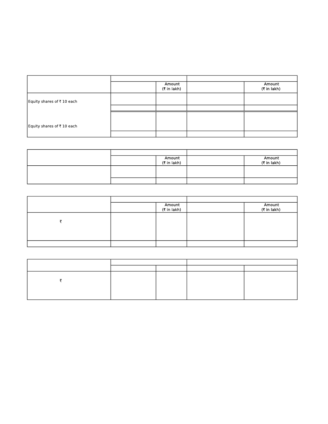#### Notes forming part of financial statements

Note 16: Equity Share Capital

#### (a) Share capital authorised, issued, subscribed and paid up:

|                                | As at March 31, 2021 |                       | As at March 31, 2020 |                             |
|--------------------------------|----------------------|-----------------------|----------------------|-----------------------------|
| Particulars                    | <b>No. of Shares</b> | Amount<br>(₹ in lakh) | No. of Shares        | Amount<br>$($ ₹ in lakh $)$ |
| <b>Authorised</b>              |                      |                       |                      |                             |
| Equity shares of ₹10 each      | 2,50,00,000          | 2,500.00              | 2,50,00,000          | 2,500.00                    |
|                                | 2,50,00,000          | 2,500.00              | 2,50,00,000          | 2,500.00                    |
|                                |                      |                       |                      |                             |
| Issued, Subscribed and Paid up |                      |                       |                      |                             |
| Equity shares of ₹10 each      | 1,87,50,000          | 1,875.00              | 1,87,50,000          | 1,875.00                    |
|                                | 1,87,50,000          | 1,875.00              | 1,87,50,000          | 1,875.00                    |

#### (b) Reconciliation of the number of equity shares and share capital:

|                                            | As at March 31, 2021     |                          | As at March 31, 2020     |                          |
|--------------------------------------------|--------------------------|--------------------------|--------------------------|--------------------------|
| <b>Particulars</b>                         | No. of Shares            | Amount<br>$($ ₹ in lakh) | No. of Shares            | Amount<br>$($ ₹ in lakh) |
| Equity shares at the beginning of the year | 1,87,50,000              | 1.875.00                 | 1,87,50,000              | 1,875.00                 |
| Add: Shares issued during the year         | $\overline{\phantom{0}}$ | $\overline{\phantom{0}}$ | $\overline{\phantom{0}}$ |                          |
| Equity shares at the end of the year       | 1,87,50,000              | 1.875.00                 | 1,87,50,000              | 1,875.00                 |

#### (c) Equity shares in the Company heldby the holding company

|                                                                                                                                                       | As at March 31, 2021 |                          | As at March 31, 2020 |                         |
|-------------------------------------------------------------------------------------------------------------------------------------------------------|----------------------|--------------------------|----------------------|-------------------------|
| <b>Particulars</b>                                                                                                                                    | No. of Shares        | Amount<br>$($ ₹ in lakh) | No. of Shares        | Amount<br>$(5$ in lakh) |
| Equity Shares of ₹ 10 each fully paid held by<br>L&T Finance Holdings Limited (Holding<br>company) directly or through its beneficially<br>Inominees. | 1,87,50,000          | 1.875.00                 | 1,87,50,000          | 1.875.00                |
|                                                                                                                                                       | 1,87,50,000          | 1.875.00                 | 1,87,50,000          | 1.875.00                |

#### (d) Details of shareholders holding more than five percent equity shares in the Company are as under:

| Particulars                                                                                                                                          | As at March 31, 2021 |           | As at March 31, 2020 |           |
|------------------------------------------------------------------------------------------------------------------------------------------------------|----------------------|-----------|----------------------|-----------|
|                                                                                                                                                      | <b>No. of Shares</b> | % holding | <b>No. of Shares</b> | % holding |
| Equity Shares of ₹10 each fully paid held by<br>L&T Finance Holdings Limited (Holding<br>company) directly or through its beneficially<br>Inominees. | 1,87,50,000          | 100%      | 1.87.50.000          | 100%      |

e) There is no shares alloted for consideration other than cash during 5 years immediately preceeding 31st March, 2021.

f) There are no shares alloted as fully paid up by way of bonus shares during 5 years immediately preceding 31st March, 2021.

g) There are no shares bought back during 5 years immediately preceding 31st March, 2021.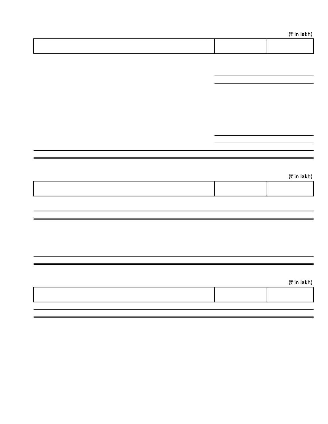# L&T Financial Consultants Limited Notes forming part of financial statements

Non Current

Current :

| Note 17: Other equity                        |                | $($ ₹ in lakh) |
|----------------------------------------------|----------------|----------------|
| <b>Particulars</b>                           | As at          | As at          |
|                                              | March 31, 2021 | March 31, 2020 |
| <b>General reserve</b>                       |                |                |
| Opening balance                              | 3,368.37       | 3,368.37       |
| Additions during the year                    |                |                |
| Closing balance                              | 3,368.37       | 3,368.37       |
| <b>Retained earnings:</b>                    |                |                |
| Opening balance of Profit and Loss Account   | 2,972.47       | 1,486.56       |
| Less: Interim dividend paid                  |                | (3, 140.63)    |
| Less: DDT on interim dividend                |                | (645.56)       |
| Add: Profit or Loss for current year         | 9,530.53       | 5,275.01       |
| Add: Other comprehensive income for the year | (1.14)         | (2.91)         |
| Closing balance of Profit and Loss Account   | 12,501.86      | 2,972.47       |
| <b>Total</b>                                 | 15,870.23      | 6,340.84       |
| <b>Note 18: Financial Liabilities</b>        |                | $($ ₹ in lakh) |
| <b>Particulars</b>                           | As at          | As at          |
|                                              | March 31, 2021 | March 31, 2020 |

| <b>Other Payables - Related Parties</b> | 83.76          | 80.50          |
|-----------------------------------------|----------------|----------------|
| <b>Total</b>                            | 275.11         |                |
|                                         |                |                |
| Note 19: Borrowing                      |                | (₹ in lakh)    |
| Particulars                             | As at          | As at          |
|                                         | March 31, 2021 | March 31, 2020 |
| Inter-corporate borrowings              | 22,190.25      | 34,560.75      |

Total 22,190.25 34,560.75

Security deposit received 2,057.30 2,048.75 Total 2,057.30 2,048.75

Other payables 11.50 Other provisions 176.91

42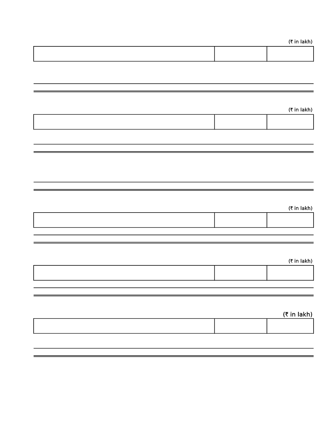# L&T Financial Consultants Limited Notes forming part of financial statements

| <b>Note 20: Trade Payables</b>                    |                | (₹ in lakh)    |
|---------------------------------------------------|----------------|----------------|
| <b>Particulars</b>                                | As at          | As at          |
|                                                   | March 31, 2021 | March 31, 2020 |
| Trade payables                                    |                |                |
| To micro small and medium enterprises             |                |                |
| To other than micro, small and medium enterprises | 4.62           | 0.77           |
| <b>Total</b>                                      | 4.62           | 0.77           |
|                                                   |                |                |
| <b>Note 21: Provision</b>                         |                | $($ ₹ in lakh) |
| <b>Particulars</b>                                | As at          | As at          |
|                                                   | March 31, 2021 | March 31, 2020 |
| <b>Non Current</b>                                |                |                |
| Gratuity                                          | 25.47          | 45.17          |
| <b>Total</b>                                      | 25.47          | 45.17          |
| <b>Current</b>                                    |                |                |
| Compensated absences                              | 10.13          | 14.87          |
| Gratuity                                          | 1.48           | 3.64           |
| <b>Total</b>                                      | 11.61          | 18.51          |
|                                                   |                |                |
| <b>Note 22: Current Tax Liabilities</b>           |                | $($ ₹ in lakh) |
| <b>Particulars</b>                                | As at          | As at          |
|                                                   | March 31, 2021 | March 31, 2020 |
| Provision for tax                                 | 1,801.35       |                |
| <b>Total</b>                                      | 1,801.35       |                |
|                                                   |                |                |
| <b>Note 23 : Deferred Tax Liabilities</b>         |                | $($ ₹ in lakh) |

| <b>Particulars</b>       | As at<br><b>March 31, 2021</b> | As at<br><b>March 31, 2020</b> |
|--------------------------|--------------------------------|--------------------------------|
| Deferred Tax liabilities | 1,536.89                       | 1,563.48                       |
| <b>Total</b>             | 1,536.89                       | 1,563.48                       |

| <b>Note 24: Other Liabilities</b> |                          | $($ ₹ in lakh) |
|-----------------------------------|--------------------------|----------------|
| Particulars                       | As at                    | As at          |
|                                   | March 31, 2021           | March 31, 2020 |
| Statutory dues payable            | 145.40                   | 125.87         |
| Others                            | $\overline{\phantom{0}}$ | 0.36           |
| <b>Total</b>                      | 145.40                   | 126.23         |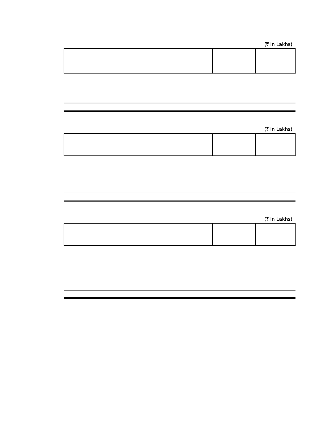# Notes forming part of financial statements

| Note 25: Revenue from operation             |                              | (₹ in Lakhs)                 |
|---------------------------------------------|------------------------------|------------------------------|
| <b>Particulars</b>                          | Year ended<br>March 31, 2021 | Year ended<br>March 31, 2020 |
| <b>Revenue from Operation</b>               |                              |                              |
| Lease rental income                         | 4,134.22                     | 4,263.24                     |
| Other charges recovery                      | 1,026.10                     | 1,732.82                     |
| Consultancy fees and financial advisory fee | 8,479.38                     | 2,934.75                     |
| <b>Total</b>                                | 13,639.70                    | 8,930.81                     |

| Note 26: Other income                      |                              | (₹ in Lakhs)                 |
|--------------------------------------------|------------------------------|------------------------------|
| <b>Particulars</b>                         | Year ended<br>March 31, 2021 | Year ended<br>March 31, 2020 |
| Interest income on inter corporate deposit | 603.97                       | 583.55                       |
| Interest received from fixed deposit       | 2.62                         | 3.85                         |
| Profit on sale of fixed assets             | 2.84                         | 388.01                       |
| Other income                               | 65.12                        | 89.98                        |
| Cross sell income                          | 5,153.88                     | 3,984.47                     |
| <b>Total</b>                               | 5,828.43                     | 5,049.86                     |

| Note 27: Employee benefits expense      |                              | (₹ in Lakhs)                        |
|-----------------------------------------|------------------------------|-------------------------------------|
| <b>Particulars</b>                      | Year ended<br>March 31, 2021 | Year ended<br><b>March 31, 2020</b> |
| Salaries, wages and bonus               | 427.19                       | 557.04                              |
| <b>Contribution and provision for:</b>  |                              |                                     |
| Contribution to provident fund          | 17.99                        | 20.89                               |
| Contribution to gratuity fund           | 10.58                        | 6.37                                |
| Expenses on employee stock option plans | 57.03                        | 88.91                               |
| Staff welfare expenses                  | 18.41                        | 29.54                               |
| <b>Total</b>                            | 531.20                       | 702.75                              |

 $\sqrt{2}$  in the label.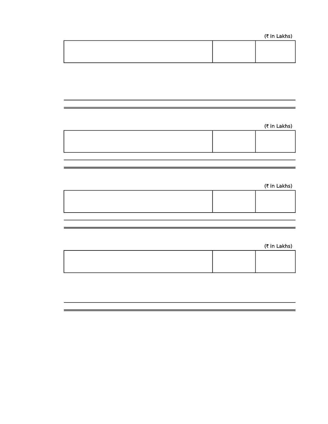# Notes forming part of financial statements

| Note 28: Finance costs                     |                              | (₹ in Lakhs)                 |
|--------------------------------------------|------------------------------|------------------------------|
| <b>Particulars</b>                         | Year ended<br>March 31, 2021 | Year ended<br>March 31, 2020 |
| Interest paid on inter-corporate borrowing | 2,529.85                     | 3,532.82                     |
| Interest on security deposits              |                              | 14.19                        |
| Interest cost - gratuity                   | 3.10                         | 2.39                         |
| Interest cost - compensated absences       | 0.75                         | 1.38                         |
| Ancilliary borrowing cost                  |                              | 1.02                         |
| <b>Total</b>                               | 2,533.70                     | 3,551.80                     |

| Note 29: Fees and commission expense |                              | (₹ in Lakhs)                        |
|--------------------------------------|------------------------------|-------------------------------------|
| <b>IParticulars</b>                  | Year ended<br>March 31, 2021 | Year ended<br><b>March 31, 2020</b> |
| Fees and commission expense          | 228.00                       |                                     |
| <b>Total</b>                         | 228.00                       | -                                   |

| Note 30: Depreciation & amortisation expense |                              | (₹ in Lakhs)                        |
|----------------------------------------------|------------------------------|-------------------------------------|
| <b>IParticulars</b>                          | Year ended<br>March 31, 2021 | Year ended<br><b>March 31, 2020</b> |
| Depreciation (Refer Note 3,4,5)              | 661.28                       | 702.61                              |
| <b>Total</b>                                 | 661.28                       | 702.61                              |

| <b>Note 31: Provisions and contingencies</b>   |                              | (₹ in Lakhs)                 |
|------------------------------------------------|------------------------------|------------------------------|
| <b>Particulars</b>                             | Year ended<br>March 31, 2021 | Year ended<br>March 31, 2020 |
| <b>Provision for standard assets:</b>          |                              |                              |
| Provision on loans and advances                | 603.97                       | 583.55                       |
| Provision for investment in subsidiary company | 426.10                       |                              |
| Bad debts and advances written off             | 0.41                         | 1.97                         |
| <b>Total</b>                                   | 1030.48                      | 585.52                       |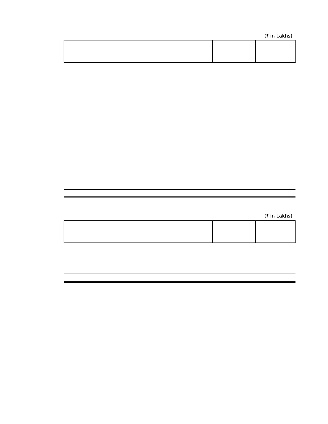# Notes forming part of financial statements

Note 32: Other expenses

(₹ in Lakhs)

| Particulars                               | Year ended<br>March 31, 2021 | Year ended<br>March 31, 2020 |
|-------------------------------------------|------------------------------|------------------------------|
| Rates and taxes                           | 89.27                        | 87.88                        |
| Travelling and conveyance                 | 4.13                         | 21.21                        |
| Sales promotion expenses                  | 0.41                         | 4.11                         |
| Telephone and communication               | 10.17                        | 13.29                        |
| Insurance expenses                        | 9.42                         | 5.72                         |
| Repairs and maintenance                   | 121.88                       | 160.12                       |
| Housekeeping expenses                     | 202.81                       | 233.13                       |
| <b>Security Charges</b>                   | 73.33                        | 85.97                        |
| Legal and professional charges            | 26.69                        | 41.51                        |
| <b>Electricity charges</b>                | 146.73                       | 241.33                       |
| Other advertising expenses                |                              | 0.23                         |
| <b>Brand license fees</b>                 | 68.73                        | 67.90                        |
| Auditor's remuneration (Refer note below) | 5.11                         | 4.15                         |
| Others expenses                           | 10.73                        | 13.89                        |
| Donations                                 |                              | 1.51                         |
| Management fees                           | 2.48                         | 4.13                         |
| <b>Corporate Social Responsibility</b>    | 76.58                        | 21.61                        |
| <b>Total</b>                              | 848.47                       | 1,007.69                     |

Note: Auditors remuneration comprises the following (net of GST set off)

|                                                      |                              | (₹ in Lakhs)                 |
|------------------------------------------------------|------------------------------|------------------------------|
| <b>Particulars</b>                                   | Year ended<br>March 31, 2021 | Year ended<br>March 31, 2020 |
| Audit fees                                           | 1.73                         | 1.73                         |
| Tax audit fees                                       | 0.58                         | 0.58                         |
| Other services (including reimbursement of expenses) | 1.07                         | 0.11                         |
| Limited review fees                                  | 1.73                         | 1.73                         |
| <b>Total</b>                                         | 5.11                         | 4.15                         |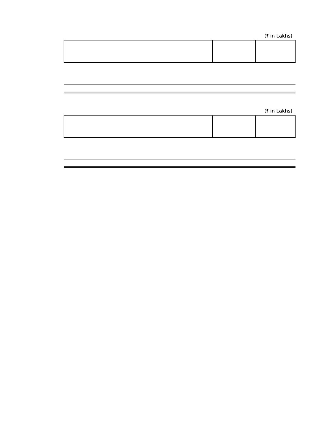# Notes forming part of financial statements

| Note 33: Tax expenses  |                              | (₹ in Lakhs)                 |
|------------------------|------------------------------|------------------------------|
| <b>Particulars</b>     | Year ended<br>March 31, 2021 | Year ended<br>March 31, 2020 |
| <b>Current Tax</b>     | 4,130.59                     | 1,397.60                     |
| MAT credit entitlement |                              | (1,366.31)                   |
| Deferred tax           | (26.12)                      | 2,124.00                     |
| <b>Total</b>           | 4,104.47                     | 2,155.29                     |

| Note 34: Other comprehensive income                   |                              | (₹ in Lakhs)                 |
|-------------------------------------------------------|------------------------------|------------------------------|
| <b>Particulars</b>                                    | Year ended<br>March 31, 2021 | Year ended<br>March 31, 2020 |
| Remeasurements of the net defined benefit Plans       | (1.61)                       | (4.11)                       |
| Income tax relating to Debt instruments through Other |                              |                              |
| Comprehensive Income                                  | 0.47                         | 1.20                         |
| <b>Total</b>                                          | (1.14)                       | (2.91)                       |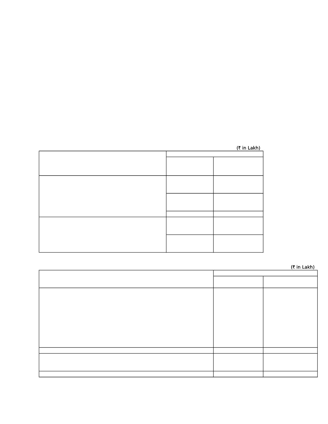#### Notes forming part of financial statement as at March 31, 2021

#### 35.1 Disclosure pursuant to Indian Accounting Standard (Ind AS) 19 "Employee Benefits"

#### (i) Defined Contribution plans :

The Company's state governed provident fund scheme are defined contribution plan for its employees which is permitted under The Employee's Provident Funds and Miscellaneous Provisions Act, 1952. The Contribution by the employer and employee together with interest accumulated there on are payable to the employee at the time of separation from company or retirement whichever is earlier .The benefit vest immediately on rendering of services by the employee. The Company recognise charges of Rs 17.99 Lakhs (previous year Rs. 20.89 Lakhs) for provident fund contribution in the Statement of Profit and Loss.

#### (ii) Defined benefit plans:

The Company operates gratuity plan through a trust wherein every employee is entitled to the benefit equivalent to fifteen days last salary drawn for each completed year of service. The same is payable on termination of service or retirement whichever is earlier. The benefit vests after five years of continuous service. The Company's scheme is more favorable as compared to the obligation under Payment of Gratuity Act, 1972.

#### (a) The amounts recognised in Balance Sheet are as follows:

| (₹ in Lakh)                                       |                         |                         |
|---------------------------------------------------|-------------------------|-------------------------|
|                                                   | <b>Gratuity Plan</b>    |                         |
| <b>Particulars</b>                                | As at<br>March 31, 2021 | As at<br>March 31, 2020 |
| A)<br>Present Value of Defined Benefit Obligation |                         |                         |
| - Wholly funded                                   |                         |                         |
| - Wholly unfunded                                 | 26.95                   | 48.81                   |
|                                                   | 26.95                   | 48.81                   |
| Less: Fair Value of plan assets                   |                         |                         |
| Add: Amount not recognised as an asset            |                         |                         |
| Amount to be recognised as liability or (asset)   | 26.95                   | 48.81                   |
| B)<br>Amounts reflected in Balance Sheet          |                         |                         |
| Liabilities                                       | 26.95                   | 48.81                   |
| Assets                                            |                         |                         |
| Net liability/(asset)                             | 26.95                   | 48.81                   |
| Net liability/(asset) - current                   | 1.48                    | 3.64                    |
| Net liability/(asset) - non-current               | 25.47                   | 45.17                   |

(b) The amounts recognised in the Statement of Profit and Loss are as follows:

|   |                                                                                          |                          | (₹ in Lakh)          |
|---|------------------------------------------------------------------------------------------|--------------------------|----------------------|
|   |                                                                                          |                          | <b>Gratuity Plan</b> |
|   | <b>Particulars</b>                                                                       | As at                    | As at                |
|   |                                                                                          | March 31, 2021           | March 31, 2020       |
|   | <b>Current Service Cost</b>                                                              | 10.58                    | 6.37                 |
|   | <b>Interest Cost</b>                                                                     | 3.10                     | 2.39                 |
| 3 | Interest Income on Plan Assets                                                           |                          |                      |
| 4 | Acturial losses/(gains) - others                                                         | 1.61                     | 4.11                 |
| 5 | Acturial losses/(gains) - difference between acturial return on plan assets and interest |                          |                      |
|   | income                                                                                   |                          |                      |
| 6 | <b>Past Service Cost</b>                                                                 | $\overline{\phantom{a}}$ |                      |
|   | Acturial gain/(loss) not recognised in Books                                             | $\overline{\phantom{a}}$ |                      |
| 8 | Translation adjustments                                                                  |                          |                      |
| 9 | Amount capitalised out of the above/ recoved from S&A                                    |                          |                      |
|   | <b>Total (1 to 9)</b>                                                                    | 15.29                    | 12.87                |
|   | Amount included in "employee benefits expenses"                                          | 10.58                    | 6.37                 |
| Ш | Amount included in as part of "finance cost"                                             | 3.10                     | 2.39                 |
| Ш | Amount included as part of "Other Comprehensive income"                                  | 1.61                     | 4.11                 |
|   | Total $(i + ii + iii)$                                                                   | 15.29                    | 12.87                |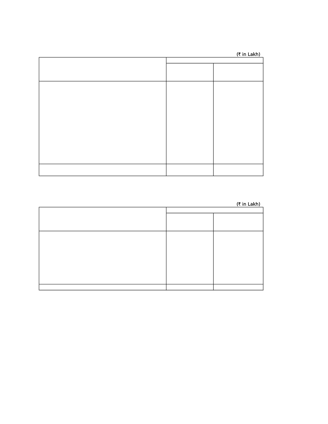Notes forming part of financial statement as at March 31, 2021

(c) The changes in the present value of defined benefit obligaiton representing reconciliation of opening and closing balance thereof are as follows:  $(\bar{z}$  in  $I \supset k)$ 

|                                                                    |                      | (K III Lakii)  |
|--------------------------------------------------------------------|----------------------|----------------|
|                                                                    | <b>Gratuity Plan</b> |                |
| <b>Particulars</b>                                                 | As at                | As at          |
|                                                                    | March 31, 2021       | March 31, 2020 |
| Opening balance of the present value of defined benefit obligation | 48.81                | 33.00          |
| Add : Current Service Cost                                         | 10.58                | 6.37           |
| Add : Interest Cost                                                | 3.10                 | 2.39           |
| Add: Acturial losses/(gains)                                       |                      |                |
| Acturial (gains)/losses arising from changes in<br>i)              | 0.81                 | 4.13           |
| financial assumptions                                              |                      |                |
| Acturial (gains)/losses arising from changes in<br>ii)             | 0.54                 |                |
| demographic assumptions                                            |                      |                |
| iii)<br>Acturial (gains)/losses arising from changes in            | 0.26                 | (0.02)         |
| experience adjustments                                             |                      |                |
| Less : Benefits paid                                               | (35.76)              | (0.89)         |
| IAdd: Past service cost                                            |                      |                |
| Add: Liability assumed/(settled)*                                  | (1.39)               | 3.83           |
| Add/(less): Translation adjustments                                |                      |                |
| Closing balance of the present value of defined benefit obligation | 26.95                | 48.81          |

\*On account of business combination or inter group transfer

(d) Changes in the fair value of plan assets representing reconciliation of the opening and closing balances thereof are as follows :

|                                                      |                         | (₹ in Lakh)             |
|------------------------------------------------------|-------------------------|-------------------------|
|                                                      | <b>Gratuity Plan</b>    |                         |
| <b>Particulars</b>                                   | As at<br>March 31, 2021 | As at<br>March 31, 2020 |
| Opening balance of the fair value of the plan assets |                         |                         |
| Add: interest income of plan assets                  |                         |                         |
| Add/(less): Acturial gains/(losses)                  |                         |                         |
| (Difference between actual return on plan assets)    |                         |                         |
| and interest income)                                 |                         |                         |
| Add: Contribution by the employer                    | 35.76                   | 0.89                    |
| Add/(less): Contribution by plan participants        |                         |                         |
| Less: Benefits paid                                  | (35.76)                 | (0.89)                  |
| Add: Assets acquired/(settled)*                      |                         |                         |
| Closing balance of plan assets                       | -                       |                         |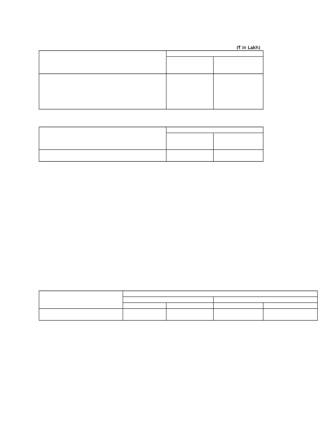#### Notes forming part of financial statement as at March 31, 2021

(e) The fair value of major categories of plan assets are as follows:

|    |                                       |                          | (T III LAKII)           |
|----|---------------------------------------|--------------------------|-------------------------|
|    |                                       | <b>Gratuity Plan</b>     |                         |
|    | <b>Particulars</b>                    | As at<br>March 31, 2021  | As at<br>March 31, 2020 |
|    | <b>Government of India Securities</b> | $\overline{\phantom{0}}$ |                         |
|    | Corporate Bonds                       | $\overline{\phantom{a}}$ |                         |
| 3  | <b>Special Deposit Scheme</b>         | $\overline{\phantom{a}}$ |                         |
| 4  | Insurer Managed Funds (Unquoted)      | $\overline{\phantom{0}}$ |                         |
| 5. | Others (quoted)                       | $\overline{\phantom{a}}$ |                         |
| 6  | Others (unquoted)                     | $\overline{\phantom{a}}$ |                         |

(f) Principal acturial assumptions at the valuation date:

|                                    | <b>Gratuity Plan</b>    |                         |
|------------------------------------|-------------------------|-------------------------|
| <b>Particulars</b>                 | As at<br>March 31, 2021 | As at<br>March 31, 2020 |
| Discount rate (per annum)          | 6.35%                   | 6.60%                   |
| Salary escalation rate (per annum) | $9.00\%$                | $9.00\%$                |

#### (A) Discount rate:

Discount rate based on the prevailing market yields of Indian government securities as at the balance sheet date for the estimated term of the obligations.

 $\sqrt{2}$  in the line  $\sqrt{2}$ 

(B) Salary escalation rate:

The estimates of future salary increase considered takes into account the inflation, seniority, promotion and other relevant factors.

(g) Attrition Rate:

The attrition rate varies from 0% to 31% (previous year: 0% to 15%) for various age groups.

(h) Mortality:

Published rates under the Indian Assured Lives Mortality (2012-14) Ult table.

(i) The estimates of future salary increases, considered in actuarial valuation, take into account inflation, seniority, promotion and other relevant factors, such as supply and demand in the employment market.

#### (j) Sensitivity Analysis

One percentage point change in actuarial assumption would have the following effects on the defined benefit obligation:

| <b>Particulars</b> |                                    | <b>Gratuity Plan</b>                                         |         |         |         |  |  |
|--------------------|------------------------------------|--------------------------------------------------------------|---------|---------|---------|--|--|
|                    |                                    | <b>Effect of 1% increase</b><br><b>Effect of 1% decrease</b> |         |         |         |  |  |
|                    |                                    | 2020-21                                                      | 2019-20 | 2020-21 | 2019-20 |  |  |
|                    | Discount rate (per annum)          | (3.05)                                                       | (4.33)  | 3.62    | 5.01    |  |  |
|                    | Salary escalation rate (per annum) | 3.49                                                         | 4.84    | (3.01)  | (4.28)  |  |  |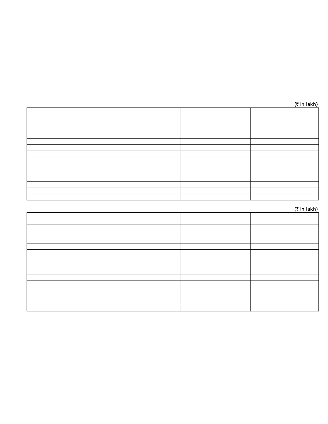#### Notes forming part of financial statement as at March 31, 2021

#### 35.2 Borrowing cost :

Borrowing costs capitalized during the year is Nil (previous year : Nil)

#### 35.3 Segment Reporting

Disclosure pursuant to IND AS 108 "Operating Segment"

(i) The Entity has reported segment information as per Indian Accounting Standard 108 "Operating Segments" (Ind AS 108)

#### (ii) Segment Composition:

a) Lease of Properties - Lease of properties comprises property given on leases.

b) Advisory Services - Advisory fees comprises income from advisory services.

|                                   |                | (₹ in Iakh)    |  |
|-----------------------------------|----------------|----------------|--|
| Particulars                       | As at          | As at          |  |
|                                   | March 31, 2021 | March 31, 2020 |  |
| <b>Gross segment assets</b>       |                |                |  |
| Lease of properties               | 35,019.32      | 35,731.98      |  |
| Advisory services                 |                | 5.38           |  |
| Total segment assets              | 35,019.32      | 35,737.36      |  |
| Unallocable corporate assets      | 10,773.91      | 11,111.05      |  |
| <b>Total assets</b>               | 45,793.23      | 46,848.41      |  |
| <b>Gross segment liabilities</b>  |                |                |  |
| Lease of properties               | 20,379.28      | 33,047.64      |  |
| Advisory services                 | 180.62         | 122.18         |  |
| Total segment liabilities         | 20,559.90      | 33,169.81      |  |
| Unallocable corporate liabilities | 7,488.10       | 5,462.75       |  |
| <b>Total liabilities</b>          | 28,048.00      | 38,632.57      |  |

|                                                  |                                     | (₹ in lakh)                         |  |
|--------------------------------------------------|-------------------------------------|-------------------------------------|--|
| Particulars                                      | <b>Year Ended</b><br>March 31, 2021 | <b>Year Ended</b><br>March 31, 2020 |  |
| Gross segment revenue from continuing operations |                                     |                                     |  |
| Lease of properties                              | 5,163.16                            | 6,474.05                            |  |
| Advisory services                                | 8,479.38                            | 2,934.75                            |  |
| Total                                            | 13,642.54                           | 9,408.80                            |  |
| <b>Gross segment result</b>                      |                                     |                                     |  |
| Lease of properties                              | 1,638.60                            | 1,275.69                            |  |
| Advisory services                                | 7,804.85                            | 2,751.34                            |  |
| Total                                            | 9,443.45                            | 4,027.03                            |  |
| Less: Unallocable expenses (net)                 | (1,030.07)                          | (585.05)                            |  |
| lAdd : Other Income                              | 5,825.59                            | 4,571.87                            |  |
| Less : Finance cost                              | (603.97)                            | (583.55)                            |  |
| <b>Profit before tax</b>                         | 13,635.00                           | 7,430.30                            |  |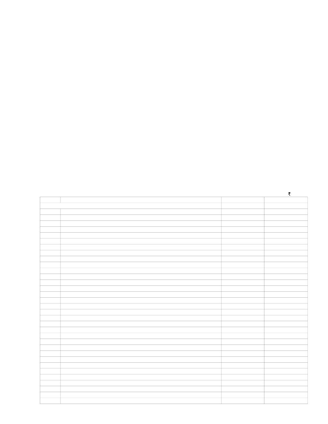Notes forming part of financial statement as at March 31, 2021

- 35.4 Related party disclosures: Ind AS 24 Related Party Disclosures: Ind AS -24 "Related Party Transaction"
	- a) List of Related Parties (with whom transactions were carried out during current or previous year)

Ultimate Holding Company

1. Larsen and Toubro Limited

Holding Company

1. L&T Finance Holdings Limited

# Subsidiary Company

1. Mudit Cement Private Limited

- Fellow Subsidiary Companies 1. L&T Finance Limited
- 2. L&T Capital Markets Limited (Upto April 23, 2020)
- 3. L&T Housing Finance Limited
- 4. L&T Infrastructure Finance Company Limited
- 5. L&T Investment Management Limited
- 6. L&T Infra Debt Fund Limited
- 7. L&T Infra Investment Partners

#### Key Management Personnel

- 1. Mr. Sudeep Banerjee (Ceased to be a Manager with effect from August 03, 2020)
- 2. Mr Suresh Darak (Ceased to be a Manager with effect from July 11, 2019)

#### b) Disclosure of related party transactions :-

|                     |                                                             |                | (₹ in Lakh) |
|---------------------|-------------------------------------------------------------|----------------|-------------|
| Sr. No.             | Nature of Transaction*                                      | 2020-21        | 2019-20     |
| <b>Transactions</b> |                                                             |                |             |
| $\mathbf{1}$        | <b>Inter Corporate Deposits Borrowed</b>                    |                |             |
|                     | <b>L&amp;T Finance Holdings Limited</b>                     | 2,21,243.63    | 2,30,067.53 |
|                     | L&T Infrastructure Finance Company Limited                  |                | 20,000.00   |
|                     | <b>L&amp;T Finance Limited</b>                              |                | 16,163.70   |
| $\overline{2}$      | Inter Corporate Deposits Repaid (including interest)        |                |             |
|                     | L&T Finance Holdings Limited                                | 2,36,143.99    | 2,37,157.40 |
|                     | L&T Infrastructure Finance Company Limited                  |                | 20,054.25   |
|                     | <b>L&amp;T Finance Limited</b>                              |                | 16,207.05   |
| 3                   | <b>Interest expense on Inter Corporate Deposits</b>         |                |             |
|                     | L&T Finance Holdings Limited                                | 2,529.85       | 3,435.23    |
|                     | L&T Infrastructure Finance Company Limited                  |                | 54.25       |
|                     | <b>L&amp;T Finance Limited</b>                              |                | 43.35       |
| 4                   | Inter Corporate Deposits given                              |                |             |
|                     | Mudit Cement Private Limited                                | 7,180.40       | 6,467.40    |
| 5                   | Inter Corporate Deposits received back (Including Interest) |                |             |
|                     | Mudit Cement Private Limited                                | 7,075.20       | 6,519.30    |
| 6                   | <b>Interest income on Inter Corporate Deposits</b>          |                |             |
|                     | Mudit Cement Private Limited                                | 603.97         | 583.55      |
| 7                   | Lease rental income from                                    |                |             |
|                     | <b>L&amp;T Finance Limited</b>                              | 2,696.85       | 1,724.52    |
|                     | L&T Capital Markets Limited                                 |                | 167.62      |
|                     | <b>L&amp;T Housing Finance Limited</b>                      | 333.99         | 239.73      |
|                     | L&T Infrastructure Finance Company Limited                  | 394.80         | 1,094.31    |
|                     | L&T Investment Management Limited                           | 558.47         | 837.79      |
|                     | L&T Finance Holdings Limited                                | 22.23          | 106.53      |
|                     | L&T Infra Debt Fund Limited                                 | 127.88         | 90.68       |
|                     | <b>L&amp;T Infra Investment Partners</b>                    | $\overline{a}$ | 2.06        |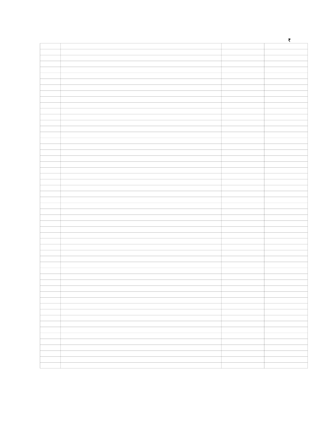#### L&T Financial Consultants Limited Notes forming part of financial statement as at March 31, 2021

|         |                                            |                          | (₹ in Lakh)              |
|---------|--------------------------------------------|--------------------------|--------------------------|
| Sr. No. | <b>Nature of Transaction*</b>              | 2020-21                  | 2019-20                  |
| 8       | <b>Expenses recovered from</b>             |                          |                          |
|         | <b>L&amp;T Finance Limited</b>             | 652.46                   | 695.29                   |
|         | L&T Capital Markets Limited                | $\overline{a}$           | 67.87                    |
|         | L&T Housing Finance Limited                | 97.45                    | 113.98                   |
|         | L&T Infrastructure Finance Company Limited | 95.52                    | 435.45                   |
|         | L&T Investment Management Limited          | 144.35                   | 342.21                   |
|         | L&T Finance Holding Limited                | 5.38                     | 42.57                    |
|         | L&T Infra Debt Fund Limited                | 30.94                    | 34.71                    |
|         | L&T Infra Investment Partners              | $\overline{a}$           | 0.75                     |
| 9       | Interest on security deposit               |                          |                          |
|         | <b>L&amp;T Finance Limited</b>             | $\overline{\phantom{a}}$ | 5.92                     |
|         | L&T Infrastructure Finance Company Limited | $\overline{\phantom{a}}$ | 3.81                     |
|         | L&T Investment Management Limited          | $\overline{\phantom{a}}$ | 2.47                     |
|         | L&T Finance Holdings Limited               | $\overline{a}$           | 0.19                     |
|         | L&T Capital Markets Limited                | $\overline{\phantom{a}}$ | 0.48                     |
|         | L&T Housing Finance Limited                | $\overline{\phantom{a}}$ | 0.72                     |
|         | L&T Infra Debt Fund Limited                | $\overline{a}$           | 0.28                     |
|         | L&T infra Investment Partners              | $\overline{\phantom{a}}$ | $***$                    |
| 10      | <b>Interim Dividend Paid to</b>            |                          |                          |
|         | L&T Finance Holdings Limited               | $\overline{\phantom{a}}$ | 3,140.63                 |
|         |                                            |                          |                          |
| 11      | Professional fees paid to                  |                          |                          |
|         | Larsen & Toubro Limited                    | 2.42                     | 2.93                     |
| 12      | <b>Brand license fees paid to</b>          |                          |                          |
|         | Larsen & Toubro Limited                    | 68.70                    | 67.90                    |
| 13      | <b>ESOP Cost</b>                           |                          |                          |
|         | L&T Finance Holdings Limited               | 57.03                    | 88.91                    |
|         |                                            |                          |                          |
| 14      | <b>Security Deposit Received</b>           |                          |                          |
|         | L&T Investment Management Limited          | $\overline{\phantom{a}}$ | 37.41                    |
|         | <b>L&amp;T Finance Limited</b>             | 502.27                   | 78.47                    |
|         | <b>L&amp;T Housing Finance Limited</b>     | 47.87                    | 20.36                    |
|         | <b>L&amp;T Capital Markets Limited</b>     | $\overline{a}$           | 6.95                     |
|         | L&T Infra Debt Fund Limited                | 20.56                    | 4.02                     |
|         | L&T Infra Investment Partners              |                          | 0.09                     |
|         | L&T Infrastructure Finance Company Limited | $\overline{\phantom{a}}$ | 50.47                    |
|         | L&T Finance Holdings Limited               |                          | 28.27                    |
| 15      | <b>Security Deposit Repaid</b>             |                          |                          |
|         | L&T Infrastructure Finance Company Limited | 367.53                   | $\overline{\phantom{a}}$ |
|         | L&T Finance Holdings Limited               | 42.08                    | $\blacksquare$           |
|         | <b>L&amp;T Finance Limited</b>             | $\overline{\phantom{a}}$ | 27.40                    |
|         | L&T Capital Markets Limited                | $\overline{\phantom{a}}$ | 81.52                    |
|         | L&T Housing Finance Limited                | 9.84                     | 2.51                     |
|         | L&T Investment Management Limited          | 139.28                   |                          |
|         | L&T Infra Investment Partners              | 1.03                     | $\overline{\phantom{a}}$ |
|         | L&T Infra Debt Fund Limited                | 2.41                     | $\overline{\phantom{a}}$ |
| 16      | <b>Reimbursement of Manpower Cost</b>      |                          |                          |
|         | Larsen & Toubro Limited                    | 62.07                    |                          |
|         |                                            |                          |                          |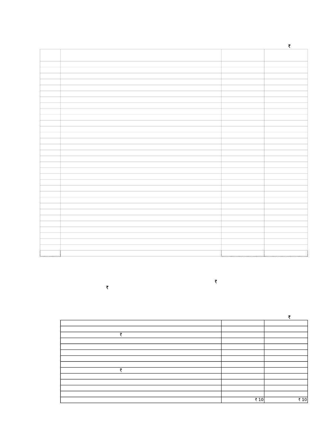#### L&T Financial Consultants Limited Notes forming part of financial statement as at March 31, 2021

#### (c) Amount due to/from Related Parties:

|                         |                                            |                          | (₹ in Lakh)            |
|-------------------------|--------------------------------------------|--------------------------|------------------------|
| S. No.                  | <b>Nature of transactions</b>              | As at<br>March 31,2021   | As at<br>March 31,2020 |
| 1                       | Inter corporate borrowings                 |                          |                        |
|                         | L&T Finance Holdings Limited               | 22,190.25                | 34,560.75              |
| $\overline{2}$          | Outstanding balance of ICD***              |                          |                        |
|                         | <b>Mudit Cement Private Limited</b>        | 7,353.71                 | 6,644.55               |
| $\overline{\mathbf{3}}$ | <b>Account payable</b>                     |                          |                        |
|                         | Larsen & Toubro Limited                    | 2.01                     | 7.18                   |
|                         | <b>L&amp;T Finance Limited</b>             | 13.05                    | 4.95                   |
|                         | L&T Infra Debt Fund Limited                | $\overline{a}$           | 0.03                   |
|                         | L&T Investment Management Limited          | $\overline{a}$           | 0.44                   |
| 4                       | <b>Account receivable</b>                  |                          |                        |
|                         | Larsen & Toubro Limited                    | 22.35                    | 17.18                  |
|                         | L&T Investment Management Limited          | 0.89                     | 1.75                   |
|                         | L&T Capital Market Limited                 | $\overline{\phantom{a}}$ | 0.70                   |
|                         | L&T Housing Finance Limited                | $\overline{a}$           | 2.22                   |
|                         | L&T Finance Holdings Limited               | 22.85                    |                        |
| 5                       | Security deposit payable                   |                          |                        |
|                         | L&T Investment Management Limited          | 275.17                   | 414.45                 |
|                         | L&T Infrastructure Finance Company Limited | 197.40                   | 564.92                 |
|                         | <b>L&amp;T Housing Finance Limited</b>     | 161.25                   | 123.23                 |
|                         | <b>L&amp;T Finance Limited</b>             | 1,348.43                 | 846.15                 |
|                         | L&T Infra Debt Fund Limited                | 63.94                    | 45.78                  |
|                         | L&T Finance Holdings Limited               | 11.12                    | 53.20                  |
|                         | <b>L&amp;T Infra Investment Partners</b>   | $\overline{a}$           | 1.03                   |
| 6                       | <b>Brand license fees payable</b>          |                          |                        |
|                         | Larsen and Toubro Limited                  | 68.70                    | 67.90                  |
| $\overline{ }$          | <b>Equity investment</b>                   |                          |                        |
|                         | Mudit Cement Private Limited               | 426.10                   | 426.10                 |

\* Transactions shown above are excluding of GST/Service Tax, if any.

\*\* Amount less than INR 1000

 $^{***}$  The amount reflected is a gross amount. Provision made on the same amounts to  $\bar{\zeta}$  3,349.25 lakhs as on 31st March 2021 (As on 31st March 2020 ₹ 2,745.28 lakhs)

35.5 Basic and Diluted Earnings per share [EPS] computed in accordance with Ind AS 33 "Earnings per Share":

|                                                          |             | (₹ in Lakh) |
|----------------------------------------------------------|-------------|-------------|
| Particulars                                              | 2020-21     | 2019-20     |
| <b>Basic earnings per share</b>                          |             |             |
| Profit after tax as per accounts ( $\bar{\tau}$ in lacs) | 9,530.53    | 5,275.01    |
| Weighted average number of equity shares outstanding     | 1,87,50,000 | 1,87,50,000 |
|                                                          |             |             |
| <b>Basic EPS</b>                                         | 50.83       | 28.13       |
|                                                          |             |             |
| Diluted earnings per share                               |             |             |
| Profit after tax as per accounts ( $\bar{\tau}$ in lacs) | 9,530.53    | 5,275.01    |
| Weighted average number of equity shares outstanding     | 1,87,50,000 | 1,87,50,000 |
|                                                          |             |             |
| Diluted EPS                                              | 50.83       | 28.13       |
|                                                          |             |             |
| Face Value per share                                     | ₹ 10        | ₹ 10        |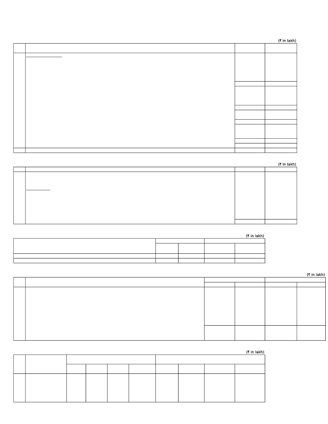Notes forming part of financial statement as at March 31, 2021

#### 35.6 Disclosure pursuant to Ind AS 12 "Income Taxes"

|     | The major components of tax expense for the year ended March 31, 2021 and March 31, 2020 |                | (₹ in lakh)    |
|-----|------------------------------------------------------------------------------------------|----------------|----------------|
|     |                                                                                          | Year ended     | Year ended     |
|     | <b>Sr no. Particulars</b>                                                                | March 31, 2021 | March 31, 2020 |
| (a) | i) Profit and Loss section                                                               |                |                |
|     | lCurrent Income tax :                                                                    |                |                |
|     | Current income tax charge                                                                | 4,130.59       | 1,397.60       |
|     | Deferred Tax:                                                                            |                |                |
|     | Relating to origination and reversal of temporary difference                             | (26.12)        | 2,124.00       |
|     | MAT credit recognised                                                                    |                | (1, 366.31)    |
|     | Income tax expense / (income) reported in the statement of profit or loss                | 4,104.47       | 2,155.29       |
| (b) | Other Comprehensive Income (OCI) Section:                                                |                |                |
|     | (i) Items not to be reclassified to profit or loss in subsequent periods:                |                |                |
|     | (A) Current tax expense/(income):                                                        |                |                |
|     | On re-measurement of defined benefit plans                                               |                |                |
|     |                                                                                          |                | $\sim$         |
|     | (B) Deferred tax expense/(income):                                                       |                |                |
|     | On re-measurement of defined benefit plans                                               | (0.47)         | (1.20)         |
|     |                                                                                          | (0.47)         | (1.20)         |
|     | (ii) Items to be reclassified to profit or loss in subsequent periods:                   |                |                |
|     | (A) Current tax expense/(income):                                                        |                |                |
|     | (B) Deferred tax expense/(income):                                                       |                |                |
|     |                                                                                          |                |                |
|     | Income tax expense reported in the other comprehensive income                            | (0.47)         | (1.20)         |
|     | Total tax expense                                                                        | 4.104.00       | 2,154.09       |

|       | Reconciliation of tax expense and the accounting profit multiplied by India's domestic tax rate for the year ended March 31, 2021 and March 31, 2020 |           | $($ ₹ in lakh) |
|-------|------------------------------------------------------------------------------------------------------------------------------------------------------|-----------|----------------|
| Sr no | <b>Particulars</b>                                                                                                                                   | 2020-21   | 2019-20        |
|       | <b>IProfit before tax</b>                                                                                                                            | 13.635.00 | 7,430.31       |
|       | Applicable Corporate tax rate as per Income tax Act, 1961                                                                                            | 29.12%    | 29.12%         |
|       | <b>IPBT*Tax tax rate of 29.12%</b>                                                                                                                   | 3,970.51  | 2,163.71       |
| 4     | <b>Tax Adiustments</b>                                                                                                                               |           |                |
|       | Tax on expense not tax deductible                                                                                                                    | 133.49    | 3.15           |
|       | Effect of origination and reversal of temporry difference                                                                                            |           | 41.25          |
|       | <b>IMAT on Book Profit</b>                                                                                                                           |           | 1,397.60       |
|       | <b>IMAT Credit Entitlement</b>                                                                                                                       |           | (1,366.31)     |
|       | <b>Other items</b>                                                                                                                                   |           | (85.29)        |
|       | <b>Total Effect of Tax Adjustments</b>                                                                                                               | 133.49    | (9.62)         |
|       | Tax expense recognised during the year                                                                                                               | 4.104.00  | 2.154.09       |

| (₹ in lakh)<br>Items for which no deferred tax asset is recognised in the balance sheet |             |                 |                 |  |
|-----------------------------------------------------------------------------------------|-------------|-----------------|-----------------|--|
|                                                                                         |             |                 |                 |  |
| Amt(Rs)                                                                                 | Expiry year | Amt(Rs)         | Expiry year     |  |
| <b>.</b>                                                                                |             | 24.87           | AY 2030-31      |  |
| -                                                                                       |             | 24.87           |                 |  |
|                                                                                         |             | As at 31-3-2021 | As at 31-3-2020 |  |

|        | $($ ₹ in lakh)<br>Components of Deferred Tax Assets and Liabilities recognised in the Balance Sheet and Statement of Profit & Loss |                |                                       |                          |            |
|--------|------------------------------------------------------------------------------------------------------------------------------------|----------------|---------------------------------------|--------------------------|------------|
|        |                                                                                                                                    |                | <b>Statement of Profit &amp; Loss</b> |                          |            |
| Sr no. | Particulars                                                                                                                        | March 31, 2021 | March 31, 2020                        | 2020-21                  | 2019-20    |
| (a)    | Difference in Book and Income tax depreciation                                                                                     | 2.143.92       | 2,001.28                              | 142.64                   | 260.96     |
| (b)    | Carried forward business loss                                                                                                      |                |                                       |                          | 879.81     |
| (c)    | <b>Unabsorbed Depreciation</b>                                                                                                     |                |                                       | -                        | 1,201.75   |
| (d)    | MAT credit receivable                                                                                                              | (5,057.46)     | (5,057.46)                            |                          | (1,366.31) |
| (e)    | Provision for doubtful debts, advances and non-performing assets debited to Statement of Profit and Loss                           | (589.41)       | (413.53)                              | (175.88)                 | (206.04)   |
| (f)    | Disallowance under Section 40(7) and Section 43B of IT Act, 1961                                                                   | (10.33)        | (18.54)                               | 8.21                     | (15.12)    |
| (g)    | Disallowance under Section 40a of the IT Act, 1961                                                                                 | (6.84)         | (5.74)                                | (1.10)                   | 1.44       |
|        | Deferred tax expense/ (income)                                                                                                     |                |                                       | (26.12)                  | 756.49     |
|        | Net deferred tax (assets) / liabilites                                                                                             | (3,520.10)     | (3,493.98)                            | $\overline{\phantom{0}}$ |            |

#### 35.7 Details of Restrictions and hypothecation of Property Plant and Equipment, Investment property, and Intangible Assets

|                             |                 |                    | As at March 31, 2021 |                          | As at March 31, 2020 |                                                            |           |              |
|-----------------------------|-----------------|--------------------|----------------------|--------------------------|----------------------|------------------------------------------------------------|-----------|--------------|
|                             |                 | <b>Restriction</b> | Restriction          | Pledged/                 |                      | Restriction on title-<br>Pledged/<br><b>Restriction on</b> |           |              |
| l Sr No.  Particulars       | Useful Life     | on title-Yes       | on title-No          | Hypothecated             | <b>Useful Life</b>   | title-Yes                                                  | No        | Hypothecated |
| 1 Office Equipments         |                 | $\sim$             | 422.63               | $\sim$                   |                      |                                                            | 383.06    |              |
| 2 Computers                 |                 |                    | 20.44                |                          |                      |                                                            | 20.44     |              |
| 3 Furniture and Fixtures    | 10 <sup>1</sup> |                    | 568.32               |                          | 10                   |                                                            | 506.77    |              |
| 4 Electrical & Installation | 10 <sup>1</sup> | -                  | 2.691.56             | -                        | 10                   |                                                            | 2.707.34  |              |
| 5 Computer Sotware          |                 | -                  | 8.55                 | $\overline{\phantom{0}}$ |                      |                                                            | 8.55      |              |
| 6 Investment Property       | 60 l            | -                  | 31.985.00            | $\overline{\phantom{a}}$ | 60                   |                                                            | 32.073.54 |              |

 $($ ₹ in lakh)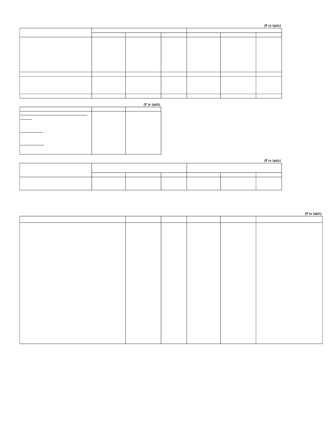#### L&T Financial Consultants Limited Notes forming part of financial statement as at March 31, 2021

#### 35.8 Disclosure pursuant to Ind AS 107 "Financial Instruments"

| <b>Fair value measurement</b>                   |              |                      |                       |                          |                      | (₹ in lakh)           |
|-------------------------------------------------|--------------|----------------------|-----------------------|--------------------------|----------------------|-----------------------|
| Financial instruments by category               |              | As at March 31, 2021 |                       |                          | As at March 31, 2020 |                       |
|                                                 | <b>FVTPL</b> | <b>FVOCI</b>         | <b>Amortised Cost</b> | <b>FVTPL</b>             | <b>FVOCI</b>         | <b>Amortised cost</b> |
| <b>Financial assets</b>                         |              |                      |                       |                          |                      |                       |
| Trade receivables                               |              |                      | 747.89                |                          | ÷                    | 537.26                |
| Cash and cash equivalents                       |              |                      | 47.23                 |                          |                      | 132.52                |
| Bank Balances other than those kept in Cash and |              |                      |                       |                          |                      |                       |
| Cash Equivalents                                |              |                      |                       |                          | ٠                    | 67.13                 |
| Investments                                     |              |                      | ٠                     |                          | ۰.                   | 426.10                |
| Loans and advances                              |              |                      | 4,004.46              |                          |                      | 3,899.27              |
| Others                                          | $\sim$       |                      | 2,425.61              | $\overline{\phantom{a}}$ | ۰.                   | 2,397.59              |
| <b>Total financial assets</b>                   |              |                      | 7,225.19              | $\sim$                   | ۰.                   | 7,459.88              |
| <b>Financial liabilities</b>                    |              |                      |                       |                          |                      |                       |
| Short Term Borrowings                           |              |                      | 22,190.25             |                          | ÷                    | 34,560.75             |
| Trade payable                                   |              |                      | 4.62                  |                          | ۰                    | 0.77                  |
| <b>Other Financial Liabilities</b>              | $\sim$       |                      | 2,332.41              | $\overline{\phantom{a}}$ | ٠                    | 2,317.66              |
| <b>Total financial liabilities</b>              |              |                      | 24,527.28             | $\sim$                   | ۰.                   | 36,879.18             |

| Items of Income, expense, gains or losses            |              | (₹ in lakh)  |
|------------------------------------------------------|--------------|--------------|
| <b>Particulars</b>                                   | F.Y. 2020-21 | F.Y. 2019-20 |
| Net gain/ (losses) on financial assets and financial |              |              |
| liabilities                                          |              |              |
| Provision on financial assets                        | 1.030.48     | 585.52       |
| <b>Interest Revenue</b>                              |              |              |
| Financial assets that are measured at amortised cost | 603.97       | 583.55       |
| <b>Interest Expenses</b>                             |              |              |
| Financial liabilities that are not measured at fair  |              |              |
| value through P&L                                    | 2.529.85     | 3.548.03     |

#### Maturity profile of financial liabilities (Amount at undiscounted value)

| Maturity profile of financial liabilities (Amount at undiscounted value) |                     |                     |           |                     |                     | (₹ in lakh) |
|--------------------------------------------------------------------------|---------------------|---------------------|-----------|---------------------|---------------------|-------------|
|                                                                          |                     | As at               |           |                     | As at               |             |
| Financial instruments by category                                        |                     | March 31, 2021      |           |                     | March 31, 2020      |             |
|                                                                          | Less than 12 months | More than 12 months | Total     | Less than 12 months | More than 12 months | Total       |
| Short Term Borrowings                                                    | 22,190.25           |                     | 22.190.25 | 34.560.75           |                     | 34.560.75   |
| Trade payable                                                            | 4.62                |                     | 4.62      | 0.77                |                     | 0.77        |
| <b>Other Financial Liabilities</b>                                       | 275.11              | 2.057.30            | 2.332.41  | 268.91              | 2.048.75            | 2.317.66    |

#### (i) Fair value hierarchy

This section explains the estimates and judgements made in determining the fair values of the financial instruments that are (a) recognised and measured at fair value and (b) measured at amortised cost and for which fair values are disclosed in financial statements. To provide an indication about the reliability of the inputs used in determining the fair value, the Company has classified its financial instruments into three levels prescrib the accounting standard. An explanation of each level follows underneath the table.  $($ ₹ in lakh)

|                                                                    |         |         |           |              | , , ,,, , ,,,,,,              |
|--------------------------------------------------------------------|---------|---------|-----------|--------------|-------------------------------|
| <b>Financial assets and liabilities measured at Amortised Cost</b> | Level 1 | Level 2 | Level 3   | <b>Total</b> | <b>Remarks</b>                |
| <b>Financial assets</b>                                            |         |         |           |              |                               |
| Financial assets at Amortised Cost:                                |         |         |           |              |                               |
| Loans and advances                                                 |         |         |           |              |                               |
| At 31.03.2021                                                      |         |         | 4,004.46  | 4,004.46     | Carrying cost approximates FV |
| At 31.03.2020                                                      |         |         | 3,899.27  | 3,899.27     | Carrying cost approximates FV |
| Trade receivables                                                  |         |         |           |              |                               |
| At 31.03.2021                                                      |         |         | 747.89    | 747.89       | Carrying cost approximates FV |
| At 31.03.2020                                                      |         |         | 537.26    | 537.26       | Carrying cost approximates FV |
| Cash and cash equivalents                                          |         |         |           |              |                               |
| At 31.03.2021                                                      |         |         | 47.23     | 47.23        | Carrying cost approximates FV |
| At 31.03.2020                                                      |         |         | 132.52    | 132.52       | Carrying cost approximates FV |
| Bank Balances other than those kept in Cash and Cash Equivalents   |         |         |           |              |                               |
| At 31.03.2021                                                      |         |         |           | $\sim$       | Carrying cost approximates FV |
| At 31.03.2020                                                      |         |         | 67.13     | 67.13        | Carrying cost approximates FV |
| Investments                                                        |         |         |           |              |                               |
| At 31.03.2021                                                      |         |         |           | $\sim$       | Carrying cost approximates FV |
| At 31.03.2020                                                      |         |         | 426.10    | 426.10       | Carrying cost approximates FV |
| Others                                                             |         |         |           |              |                               |
| At 31.03.2021                                                      |         |         | 2,425.61  | 2,425.61     | Carrying cost approximates FV |
| At 31.03.2020                                                      |         |         | 2,397.59  | 2,397.59     | Carrying cost approximates FV |
| <b>Financial Liabilities</b>                                       |         |         |           |              |                               |
| Financial liabilities at Amortised Cost:                           |         |         |           |              |                               |
| Short Term Borrowings                                              |         |         |           |              |                               |
| At 31.03.2021                                                      |         |         | 22,190.25 | 22,190.25    | Carrying cost approximates FV |
| At 31.03.2020                                                      |         |         | 34,560.75 | 34,560.75    | Carrying cost approximates FV |
| Trade payable                                                      |         |         |           |              |                               |
| At 31.03.2021                                                      |         |         | 4.62      | 4.62         | Carrying cost approximates FV |
| At 31.03.2020                                                      |         |         | 0.77      | 0.77         | Carrying cost approximates FV |
| <b>Other Financial Liabilities</b>                                 |         |         |           |              |                               |
| At 31.03.2021                                                      |         |         | 2,332.41  | 2,332.41     | Carrying cost approximates FV |
| At 31.03.2020                                                      |         |         | 2,317.66  | 2,317.66     | Carrying cost approximates FV |
|                                                                    |         |         |           |              |                               |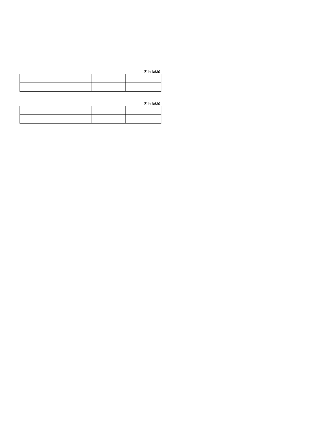#### L&T Financial Consultants Limited Notes forming part of financial statement as at March 31, 2021

Level 1 hierarchy- It includes financial instruments measured using quoted prices in active markets for identical assets or liabilities.. This includes mutual funds which are valued using the closing NAV.

Level 2 hierarchy- It includes financial instruments measured using valuation techniques for which the lowest level input that is significant to the fair value measurement is directly or indirectly observable.

Level 3 hierarchy- It includes financial instruments measured using valuation techniques for which the lowest level input that is significant to the fair value measurement is unobservable.

There are no transfers between levels 1 and levels 2 and levels 3 during the year.

#### (ii) Fair value of other financial assets and liabilities measured at amortised cost

.<br>The carrying amounts of trade receivables, trade payables, other current liabilities and cash and cash equivalents are considered to be the same as their fair values, due to short-term nature.

#### (iii) Interest rate risk

|                                    |                         | (₹ in lakh)             |
|------------------------------------|-------------------------|-------------------------|
| Particulars                        | As at<br>March 31, 2021 | As at<br>March 31, 2020 |
| Interest Rate Risk:                |                         |                         |
| Borrowings at fixed interest rates | 22.190.25               | 34.560.75               |

#### 35.9 Contingent Liabilities and commitment : Ind AS 37

|                         |                         | (₹ in lakh)             |
|-------------------------|-------------------------|-------------------------|
| Particulars             | As at<br>March 31, 2021 | As at<br>March 31, 2020 |
| Contingent Liabilities: |                         |                         |
| Bank guarantees;<br>la) | ۰                       | 63.36                   |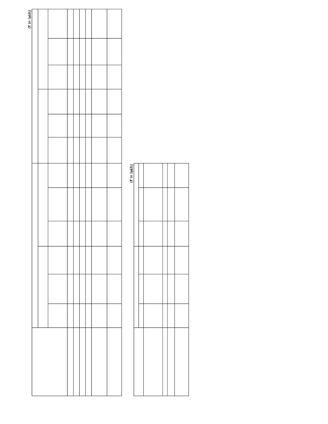| :                                                                                                              | ירה<br><br>อี<br>t as at Marcı.<br>ffinancial statemen' |
|----------------------------------------------------------------------------------------------------------------|---------------------------------------------------------|
| ֧֧֦֧֦֧֦֧֦֧֦֧֦֧֦֧֦֧֦֧֦֧֦֧֟֟֟֟֓֟֓֝֝֝֝֝֝֬֝֝֬֝֝<br>֧֪֪֪֪֪֪֧֧֪֧֧֧֧֧֧֧֧֧֧֧֧֧֧֧֚֝֝֝֝֝֬֝֬֝֬֝֬֝֬֝֬<br>֧֪֪֪֪֪֪֪֪֪֪֪֪֪֪֪֝ | nart o<br>i                                             |

35.10 Disclosure Pursuant to IND AS 115 - Revenue from Contract with Gustomer<br>a) Disaggregation of revenue - Following table covers the revenue segregation in to Operating segments and Geographical areas a) Disaggregation of revenue - Following table covers the revenue segregation in to Operating segments and Geographical areas 35.10 Disclosure Pursuant to IND AS 115 - Revenue from Contract with Customer

| Disaggregation of revenue - Following table covers the revenue segregation in to Operating segments and Geographical areas |          |                          |           |               |                   |           |          |                          |          |          |                   | (₹ in lakh) |
|----------------------------------------------------------------------------------------------------------------------------|----------|--------------------------|-----------|---------------|-------------------|-----------|----------|--------------------------|----------|----------|-------------------|-------------|
|                                                                                                                            |          |                          | ř         | <b>120-21</b> |                   |           |          |                          |          | 2019-20  |                   |             |
|                                                                                                                            |          | <b>Operating Segment</b> |           |               | Geographical Area |           |          | <b>Operating Segment</b> |          |          | Geographical Area |             |
| Particulars                                                                                                                | Lease    | Advisory<br>Service      | Total     | Domestic      | International     | Total     | Lease    | Advisory<br>Service      | Total    | Domestic | International     | Total       |
| Lease rental income                                                                                                        | 4,134.22 |                          | 4,134.22  | 4,134.22      |                   | 4,134.22  | 4,263.24 |                          | 4,263.24 | 4,263.24 |                   | 4,263.24    |
| Common cost recovery                                                                                                       | 1,026.10 |                          | 1,026.10  | 1,026.10      |                   | 1,026.10  | 1,732.82 |                          | 1,732.82 | 1,732.82 |                   | 1,732.82    |
| Advisory fees                                                                                                              |          | 8,479.38                 | 8,479.38  | 8,479.38      |                   | 8,479.38  | ł        | 2,934.75                 | 2,934.75 | 2,934.75 |                   | 2,934.75    |
| Total                                                                                                                      | 5,160.32 | 8,479.38                 | 13,639.70 | 13,639.70     |                   | 13,639.70 | 5,996.06 | 2,934.75                 | 8,930.81 | 8,930.81 |                   | 8,930.81    |
| performance obligations satisfied at a point<br>Revenue Recognised based on<br>in time                                     |          | 8,479.38                 | 8,479.38  | 8,479.38      |                   | 8,479.38  |          | 2,934.75                 | 2,934.75 | 2,934.75 |                   | 2,934.75    |
| performance obligations satisfied over a<br>Revenue Recognised based on<br>period of time                                  | 5,160.32 |                          | 5,160.32  | 5,160.32      |                   | 5,160.32  | 5,996.06 |                          | 5,996.06 | 5,996.06 |                   | 5,996.06    |
|                                                                                                                            |          |                          |           |               |                   |           |          |                          |          |          |                   |             |

| సె | Reconciliation of contracted price with revenue during the year |                      |          |           |               |          | $(7 \text{ in } \text{lakh})$ |
|----|-----------------------------------------------------------------|----------------------|----------|-----------|---------------|----------|-------------------------------|
|    |                                                                 |                      | 2020-21  |           |               | 2019-20  |                               |
|    | Particulars                                                     | <b>Inter Company</b> | External | Total     | Inter Company | External | Total                         |
|    |                                                                 |                      |          |           |               |          |                               |
|    | Dening contracted price of orders including                     |                      |          |           |               |          |                               |
|    | full value of partially executed contract                       |                      |          |           |               |          |                               |
|    | Changes on account of :                                         |                      |          |           |               |          |                               |
|    | Contract Price                                                  | 5,160.32             | 8.479.38 | 13,639.70 | 5,996.06      | 2,934.75 | 8,930.81                      |
|    | Revenue recognised during the Year out of                       |                      |          |           |               |          |                               |
|    |                                                                 |                      |          |           |               |          |                               |
|    | orders completed during the Year                                | 5,160.32             | 8,479.38 | 13,639.70 | 5,996.06      | 2,934.75 | 8,930.81                      |

 $\widehat{\mathbf{p}}$ 

There are no contract assets and contract liabilities as at 31st March, 2021 and 31st March, 2020 c) There are no contract assets and contract liabilities as at 31st March, 2021 and 31st March, 2020  $\widehat{\mathbf{C}}$  The Company has not recognised any assets as on March 31, 2021 and March 31, 2020 from the costs to obtain or fulfil a contract with a customer. d) The Company has not recognised any assets as on March 31, 2021 and March 31, 2020 from the costs to obtain or fulfil a contract with a customer.  $\widehat{\sigma}$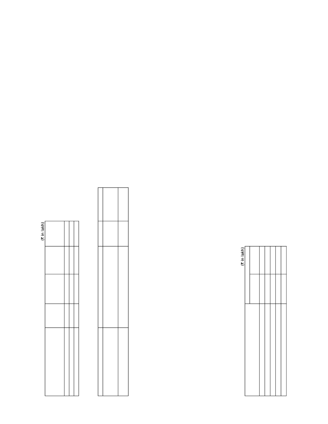# Disclosure pursuant to ESOP Cost 35.11 Disclosure pursuant to ESOP Cost 35.11

Pursuant to the Employees Stock Options Scheme established by the holding company (i.e. L&T Finance Holdings Limited), stock options have been granted to the employees of the Company. Total cost incurred by the holding com Pursuant to the Employees Stock Options Scheme established by the holding company (i.e. L&T Finance Holding cumpany (i.e. L&T Finance Holding company ii.e. L&T Finance Holding company in espect of options granted to employees of the company amounts, recovery of the same and future period expense details are following: granted to employees of the company amounts, recovery of the same and future period expense details are following:

|                |                   |                 |                                  | $(3 \text{ in } \text{lakh})$ |
|----------------|-------------------|-----------------|----------------------------------|-------------------------------|
|                | <b>Total</b> cost | Expense         | Expenses                         | Remaining                     |
| As at          | ncurred by        | recovered by    | charged to                       | expenses to be                |
|                | Holding           | holding company | statement of                     | recovered in                  |
|                | company (i.e.     | till end of     | profit and loss   future periods |                               |
|                |                   |                 |                                  | $(E) = (B - C)$               |
| March 31, 2021 | 220.58            | 203.76          | 57.03                            | 16.82                         |
| March 31, 2020 | 262.11            | 146.73          | 88.91                            | 115.38                        |

# 35.12 Financial Risk Management 35.12 Financial Risk Management

The Company's activities expose it to liquidity risk and credit risk. liquidity risk and credit risk  $\frac{1}{2}$ nı/e activitie The Co

|                       | This note explains the sources of risk which the entity is exposed to and how the entity manages the risk in the financial statements |                             |                        |
|-----------------------|---------------------------------------------------------------------------------------------------------------------------------------|-----------------------------|------------------------|
|                       | Exposure arising from                                                                                                                 | Measurement                 | Management             |
|                       |                                                                                                                                       |                             | Diversification of     |
|                       | Cash and cash equivalents, Trade receivables, Other   Ageing analysis   bank deposits, credit                                         |                             |                        |
| Credit risk           | financial assets measured at amortised cost                                                                                           | Credit ratings   limits     |                        |
|                       |                                                                                                                                       | Rolling cash                | <b>Working Capital</b> |
| <b>Liquidity</b> risk | Trade payables and Other current liabilities                                                                                          | flow forecasts   Management |                        |

# (A) Credit risk (A) Credit risk

Credit risk arises from investments carried at amortised cost and deposits with banks and financial institutions, as well as credit exposures to customers including outstanding receivables. Credit risk arises from investments carried at amortised cost and deposits with banks and financial institutions, as well as credit exposures to customers including outstanding receivables.

# Trade receivable Trade receivable

The Company renders services to related entities only and as such oredit risk of trade receivable is not expected to be significant considering the credit worthiness of the related entities. The Company closely monitors th The Company renders services to related entities only and a such medit risk of trade receivable is not expected to be significant considering the redit worthiness of the related entities. The Company closely monitors the a ensure the non-receipt of payment is escalated and recovered. ensure the non-receipt of payment is escalated and recovered.

# Deposits with banks Deposits with banks

The Company performs a qualitative assessment of credit risk on its cash and cash equivalents. The Company maintains its current deposits with banks having good reputation, good past track record and high quality credit ra The Company performant of redit risk on its cash and cash equivalents. The Company maintains its current deposits with banks having good reputation, good past track record and high quality credit rating and also reviews th worthiness on an on-going basis. worthiness on an on-going basis.

# (B) Liquidity risk (B) Liquidity risk

Prudent liquidity risk management implies maintaining sufficient cash and marketable securities and the ovality of funding through an adequate amount of committed credit facilities to meet obligations when due and to close Prudent liquidity risk management implies maintaining sufficient cash and marketable securities and the availability of funding through an adequate amount of committed credit facilities to meet obligations when due and to the dynamic nature of the underlying businesses, Company treasury maintains flexibility in funding by maintaining availability under committed credit lines. the dynamic nature of the underlying businesses, Company treasury maintains flexibility in funding by maintaining availability under committed credit lines.

Management monitors rolling forecasts of the Company's liquidity position and cash equivalents on the basis of expected cash flows. These limits vary by location to take into account the liquidity of the market in which th Management monitors rolling forecasts of the Company's liquidity position and cash and cash equivalents of expected cash flows. These limits vary by location to take into account the liquidity of the market in which the en addition, the Company's liquidity management policy involves projecting cash flows and considering the level of liquid assets necessary to meet these, monitoring balance sheet liquidity ratios against internal negulatory r

# Maturities of financial liabilities: Maturities of financial liabilities:

The tables below analyse the Company's financial liabilities into relevant maturity groupings based on their contractual maturities : The tables below analyse the Company's financial liabilities into relevant maturity groupings based on their contractual maturities :

The amounts disclosed in the table are the contractual undiscounted cash flows. Balances due within 12 months equal their carrying balances as the impact of discounting is not significant. The amounts disclosed in the table are the contractual undiscounted cash flows. Balances due within 12 months equal their carrying balances as the impact of discounting is not significant.

|                                                 |                                 | (₹ in lakh) |
|-------------------------------------------------|---------------------------------|-------------|
| Contractual maturities of financial liabilities | Less than one year              |             |
|                                                 | As at                           | As at       |
|                                                 | March 31, 2021   March 31, 2020 |             |
| Non-derivatives                                 |                                 |             |
| <b>Borrowings</b>                               | 22,190.25                       | 34,560.75   |
| Trade payables                                  | 4.62                            | 0.77        |
| Other financial liabilities                     | 275.11                          | 268.91      |
| Total non-derivative liabilities                | 22,469.98                       | 34,830.43   |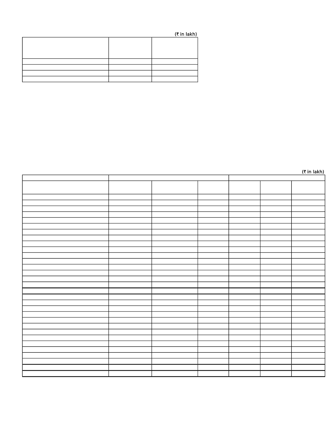#### 35.13 Disclosures pertaining to Corporate Social Responsibility (CSR) related activities

|                                                |                                     | (₹ in lakh)                         |
|------------------------------------------------|-------------------------------------|-------------------------------------|
| <b>Particulars</b>                             | <b>Year Ended</b><br>March 31, 2021 | <b>Year Ended</b><br>March 31, 2020 |
| a) Amount required to be spent during the year | 76.58                               | 21.61                               |
| b) Amount spent during the year (in cash) on : |                                     |                                     |
| (i) Construction/acquisition of any asset      |                                     |                                     |
| (ii) For the purpose other than (i) above      | 76.58                               | 21.61                               |
|                                                |                                     |                                     |

#### 35.14 Capital management

The Company's objectives when managing capital are to

a) safeguard their ability to continue as a going concern, so that they can continue to provide returns for shareholders and benefits for other stakeholders, and b) Maintain an optimal capital structure to reduce the cost of capital.

#### 35.15 Maturity analysis of assets and liabilities

The table below shows an analysis of assets and liabilities analysed according to when they are expected to be recovered or settled. Derivatives have been classified to mature and/or be repaid within 12 months, regardless of the actual contractual maturities of the products.

| Particulars                        | March 31, 2021           |                          |              | March 31, 2020           |                          |              |
|------------------------------------|--------------------------|--------------------------|--------------|--------------------------|--------------------------|--------------|
| <b>ASSETS</b>                      | Within 12<br>months      | After 12<br>months       | <b>Total</b> | Within 12<br>months      | After 12<br>months       | <b>Total</b> |
| <b>Non-current assets</b>          |                          |                          |              |                          |                          |              |
| Property, Plant and Equipment      | $\overline{\phantom{a}}$ | 1,756.58                 | 1,756.58     | $\overline{\phantom{a}}$ | 2,052.80                 | 2,052.80     |
| <b>Investment Property</b>         | $\overline{\phantom{a}}$ | 30,740.31                | 30,740.31    |                          | 31,100.95                | 31,100.95    |
| Other Intangible assets            | $\overline{\phantom{a}}$ | 0.43                     | 0.43         | $\overline{a}$           | 0.43                     | 0.43         |
| Tax assets                         | $\overline{a}$           | 872.13                   | 872.13       | $\overline{a}$           | 1,045.52                 | 1,045.52     |
| Investment                         | $\overline{\phantom{a}}$ |                          |              |                          | 426.10                   | 426.10       |
| Other financial assets             | $\overline{\phantom{a}}$ | 26.39                    | 26.39        | $\overline{\phantom{a}}$ | 26.39                    | 26.39        |
| Deferred tax assets                | $\overline{\phantom{a}}$ | 5,057.46                 | 5,057.46     | $\overline{\phantom{a}}$ | 5,057.46                 | 5,057.46     |
| <b>Current assets</b>              |                          |                          |              |                          |                          |              |
| <b>Trade Receivables</b>           | 747.89                   | $\overline{a}$           | 747.89       | 537.26                   | $\overline{\phantom{a}}$ | 537.26       |
| Cash and cash equivalents          | 47.23                    | $\overline{\phantom{a}}$ | 47.23        | 132.52                   |                          | 132.52       |
| Bank Balance other than (a) above  |                          |                          |              | 67.13                    | $\overline{\phantom{a}}$ | 67.13        |
| Other financial assets             | 2,399.22                 | $\overline{\phantom{a}}$ | 2,399.22     | 2,371.20                 | $\blacksquare$           | 2,371.20     |
| Loans                              | 4,004.46                 | $\overline{a}$           | 4,004.46     | 3,899.27                 | $\overline{a}$           | 3,899.27     |
| Other current assets               | 26.11                    |                          | 26.11        | 16.36                    |                          | 16.36        |
| Assets classified as held for sale | 115.02                   |                          | 115.02       | 115.02                   |                          | 115.02       |
| <b>Total Assets</b>                | 7,339.93                 | 38,453.30                | 45,793.23    | 7,138.76                 | 39,709.65                | 46,848.41    |
| <b>LIABILITIES</b>                 |                          |                          |              |                          |                          |              |
| Non-current liabilities            |                          |                          |              |                          |                          |              |
| Other financial liabilities        | $\overline{\phantom{a}}$ | 2,057.30                 | 2,057.30     | $\blacksquare$           | 2,048.75                 | 2,048.75     |
| <b>Provisions</b>                  | $\overline{\phantom{a}}$ | 25.47                    | 25.47        | $\blacksquare$           | 45.17                    | 45.17        |
| <b>Current liabilities</b>         |                          |                          |              |                          |                          |              |
| Borrowings                         | 22,190.25                | ÷,                       | 22,190.25    | 34,560.75                |                          | 34,560.75    |
| Trade payables                     | 4.62                     |                          | 4.62         | 0.77                     |                          | 0.77         |
| Other financial liabilities        | 275.11                   | $\overline{\phantom{a}}$ | 275.11       | 268.91                   |                          | 268.91       |
| Provisions                         | 11.61                    | $\overline{\phantom{a}}$ | 11.61        | 18.51                    | $\overline{\phantom{a}}$ | 18.51        |
| Current tax liabilities            | 1,801.35                 | $\overline{\phantom{a}}$ | 1,801.35     |                          | $\blacksquare$           |              |
| Deferred tax liabilities           | 1,536.89                 | $\overline{a}$           | 1,536.89     | 1,563.48                 | $\blacksquare$           | 1,563.48     |
| Other current liabilities          | 145.40                   |                          | 145.40       | 126.23                   | $\sim$                   | 126.23       |
| <b>Total liabilities</b>           | 25,965.23                | 2,082.77                 | 28,048.00    | 36,538.65                | 2,093.92                 | 38,632.57    |
| Equity                             |                          |                          | 17,745.23    |                          |                          | 8,215.84     |